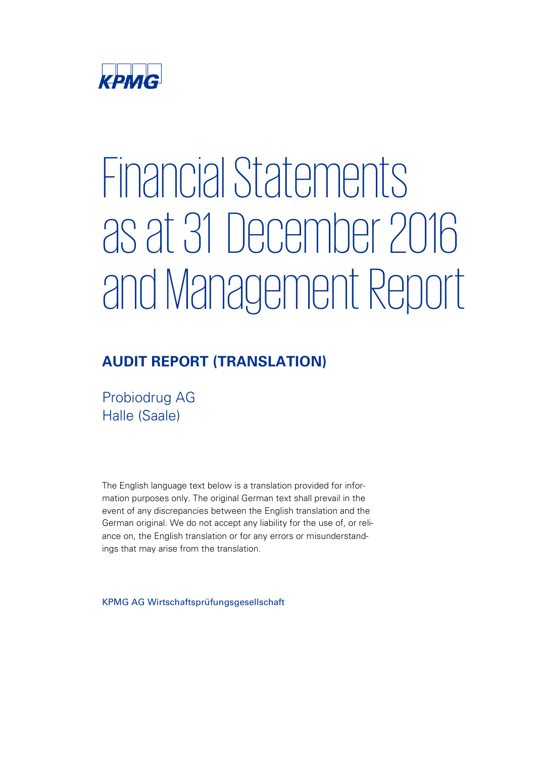

# Financial Statements as at 31 December 2016 and Management Report

# **AUDIT REPORT (TRANSLATION)**

Probiodrug AG Halle (Saale)

The English language text below is a translation provided for information purposes only. The original German text shall prevail in the event of any discrepancies between the English translation and the German original. We do not accept any liability for the use of, or reliance on, the English translation or for any errors or misunderstandings that may arise from the translation.

KPMG AG Wirtschaftsprüfungsgesellschaft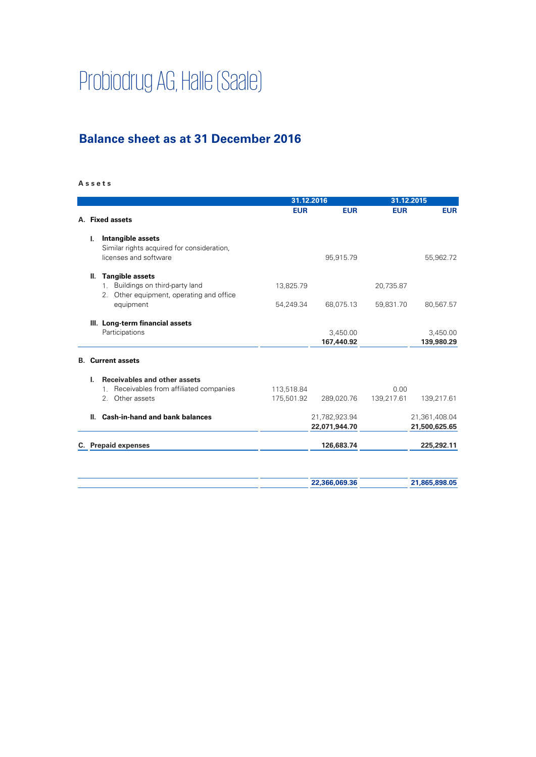# Probiodrug AG, Halle (Saale)

# **Balance sheet as at 31 December 2016**

#### **A s s e t s**

|                                                                              |            | 31.12.2016    |            | 31.12.2015    |
|------------------------------------------------------------------------------|------------|---------------|------------|---------------|
| A. Fixed assets                                                              | <b>EUR</b> | <b>EUR</b>    | <b>EUR</b> | <b>EUR</b>    |
| Intangible assets<br>I.                                                      |            |               |            |               |
| Similar rights acquired for consideration,                                   |            |               |            |               |
| licenses and software                                                        |            | 95,915.79     |            | 55,962.72     |
| <b>Tangible assets</b><br>Ш.                                                 |            |               |            |               |
| 1. Buildings on third-party land<br>2. Other equipment, operating and office | 13,825.79  |               | 20,735.87  |               |
| equipment                                                                    | 54,249.34  | 68,075.13     | 59,831.70  | 80,567.57     |
| III. Long-term financial assets                                              |            |               |            |               |
| Participations                                                               |            | 3,450.00      |            | 3,450.00      |
|                                                                              |            | 167,440.92    |            | 139,980.29    |
| <b>B.</b> Current assets                                                     |            |               |            |               |
| <b>Receivables and other assets</b><br>L.                                    |            |               |            |               |
| Receivables from affiliated companies<br>$1_{\cdot}$                         | 113,518.84 |               | 0.00       |               |
| 2. Other assets                                                              | 175,501.92 | 289,020.76    | 139,217.61 | 139,217.61    |
| <b>Cash-in-hand and bank balances</b><br>Ш.                                  |            | 21,782,923.94 |            | 21,361,408.04 |
|                                                                              |            | 22,071,944.70 |            | 21,500,625.65 |
| C. Prepaid expenses                                                          |            | 126,683.74    |            | 225,292.11    |
|                                                                              |            |               |            |               |
|                                                                              |            |               |            |               |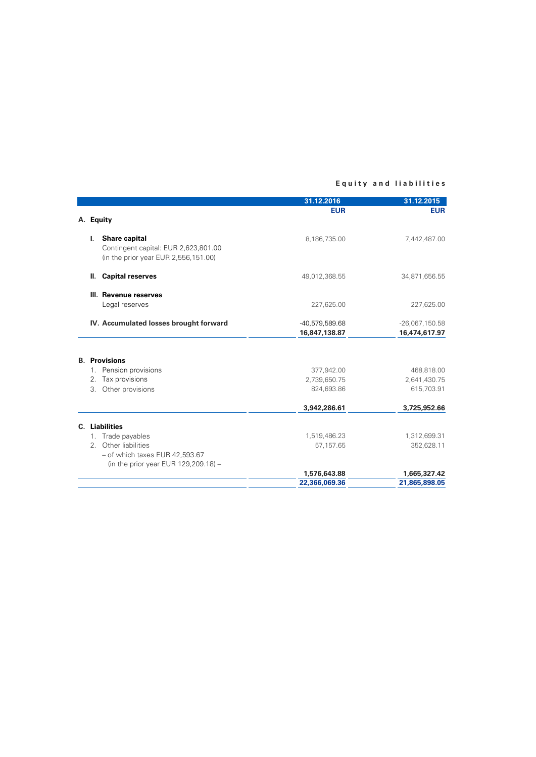#### **E q u i t y a n d l i a b i l i t i e s**

|                      |                                         | 31.12.2016     | 31.12.2015       |
|----------------------|-----------------------------------------|----------------|------------------|
|                      |                                         | <b>EUR</b>     | <b>EUR</b>       |
| A. Equity            |                                         |                |                  |
|                      | I. Share capital                        | 8,186,735.00   | 7,442,487.00     |
|                      | Contingent capital: EUR 2,623,801.00    |                |                  |
|                      | (in the prior year EUR 2,556,151.00)    |                |                  |
| Ш.                   | <b>Capital reserves</b>                 | 49,012,368.55  | 34,871,656.55    |
|                      | III. Revenue reserves                   |                |                  |
|                      | Legal reserves                          | 227,625.00     | 227,625.00       |
|                      | IV. Accumulated losses brought forward  | -40,579,589.68 | $-26,067,150.58$ |
|                      |                                         | 16,847,138.87  | 16,474,617.97    |
|                      |                                         |                |                  |
| <b>B.</b> Provisions |                                         |                |                  |
|                      | 1. Pension provisions                   | 377,942.00     | 468,818.00       |
|                      | 2. Tax provisions                       | 2,739,650.75   | 2,641,430.75     |
|                      | 3. Other provisions                     | 824,693.86     | 615,703.91       |
|                      |                                         | 3,942,286.61   | 3,725,952.66     |
| C. Liabilities       |                                         |                |                  |
|                      | 1. Trade payables                       | 1,519,486.23   | 1,312,699.31     |
|                      | 2. Other liabilities                    | 57,157.65      | 352,628.11       |
|                      | $-$ of which taxes EUR 42,593.67        |                |                  |
|                      | (in the prior year EUR $129,209.18$ ) - |                |                  |
|                      |                                         | 1,576,643.88   | 1,665,327.42     |
|                      |                                         | 22,366,069.36  | 21,865,898.05    |
|                      |                                         |                |                  |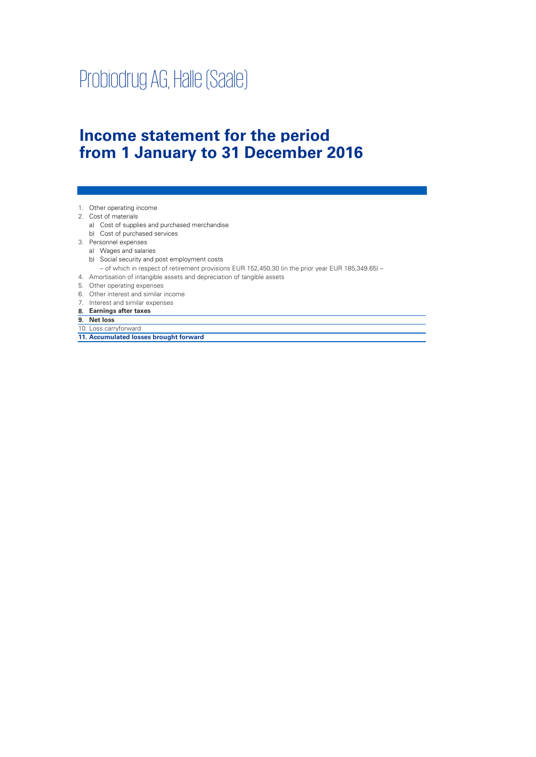# Probiodrug AG, Halle (Saale)

# **Income statement for the period from 1 January to 31 December 2016**

- 1. Other operating income
- 2. Cost of materials
	- a) Cost of supplies and purchased merchandise
- b) Cost of purchased services
- 3. Personnel expenses
	- a) Wages and salaries
	- b) Social security and post employment costs
	- of which in respect of retirement provisions EUR 152,450.30 (in the prior year EUR 185,349.65) –
- 4. Amortisation of intangible assets and depreciation of tangible assets
- 5. Other operating expenses
- 6. Other interest and similar income
- 7. Interest and similar expenses
- **8. Earnings after taxes**
- **9. Net loss**
- 10. Loss carryforward
- **11. Accumulated losses brought forward**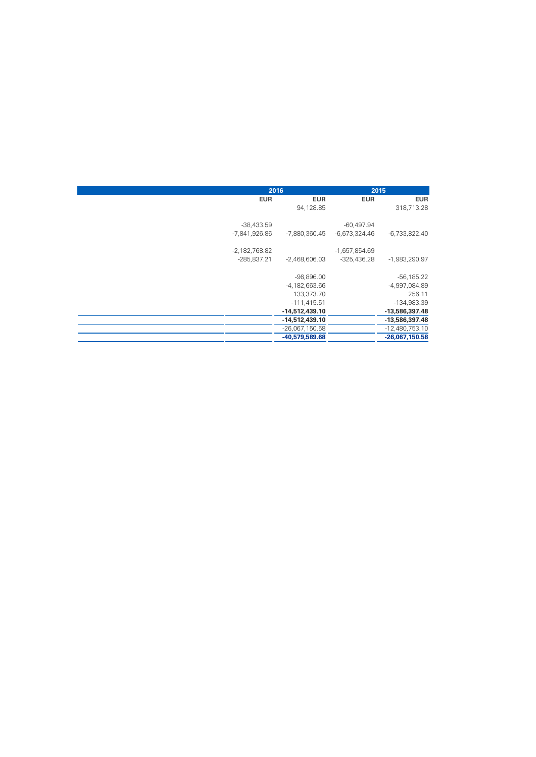|                 | 2016             |                 | 2015             |
|-----------------|------------------|-----------------|------------------|
| <b>EUR</b>      | <b>EUR</b>       | <b>EUR</b>      | <b>EUR</b>       |
|                 | 94,128.85        |                 | 318,713.28       |
|                 |                  |                 |                  |
| $-38,433.59$    |                  | $-60,497.94$    |                  |
| $-7,841,926.86$ | -7,880,360.45    | $-6,673,324.46$ | $-6,733,822.40$  |
| $-2,182,768.82$ |                  | $-1,657,854.69$ |                  |
| $-285,837.21$   | $-2,468,606.03$  | $-325,436.28$   | -1,983,290.97    |
|                 | $-96,896.00$     |                 | $-56, 185.22$    |
|                 | $-4,182,663.66$  |                 | -4,997,084.89    |
|                 | 133,373.70       |                 | 256.11           |
|                 | $-111,415.51$    |                 | $-134,983.39$    |
|                 | $-14,512,439.10$ |                 | $-13,586,397.48$ |
|                 | $-14,512,439.10$ |                 | -13,586,397.48   |
|                 | $-26,067,150.58$ |                 | $-12,480,753.10$ |
|                 | -40,579,589.68   |                 | $-26,067,150.58$ |
|                 |                  |                 |                  |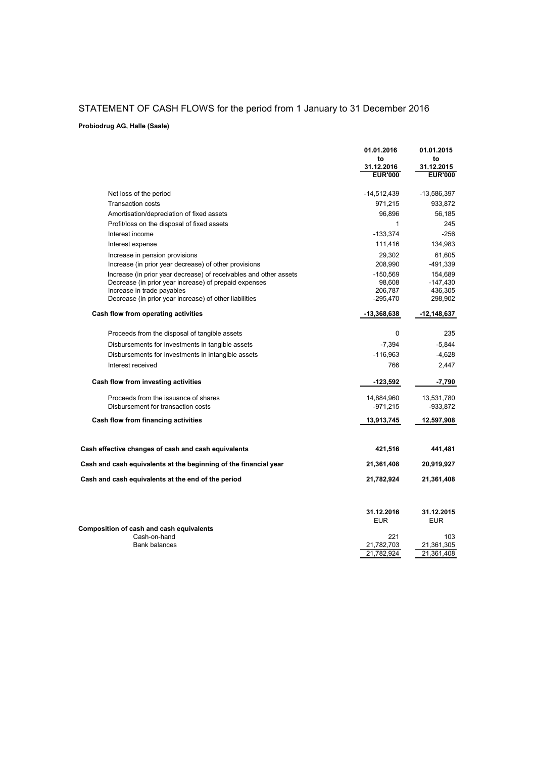#### STATEMENT OF CASH FLOWS for the period from 1 January to 31 December 2016

#### **Probiodrug AG, Halle (Saale)**

|                                                                                      | 01.01.2016<br>to             | 01.01.2015<br>to             |
|--------------------------------------------------------------------------------------|------------------------------|------------------------------|
|                                                                                      | 31.12.2016<br><b>EUR'000</b> | 31.12.2015<br><b>EUR'000</b> |
| Net loss of the period                                                               | -14,512,439                  | $-13,586,397$                |
| <b>Transaction costs</b>                                                             | 971,215                      | 933,872                      |
| Amortisation/depreciation of fixed assets                                            | 96,896                       | 56,185                       |
| Profit/loss on the disposal of fixed assets                                          | 1                            | 245                          |
| Interest income                                                                      | $-133,374$                   | -256                         |
| Interest expense                                                                     | 111,416                      | 134,983                      |
| Increase in pension provisions                                                       | 29,302                       | 61.605                       |
| Increase (in prior year decrease) of other provisions                                | 208,990                      | -491,339                     |
| Increase (in prior year decrease) of receivables and other assets                    | $-150,569$                   | 154,689                      |
| Decrease (in prior year increase) of prepaid expenses                                | 98,608                       | $-147,430$                   |
| Increase in trade payables<br>Decrease (in prior year increase) of other liabilities | 206,787<br>$-295,470$        | 436,305<br>298,902           |
|                                                                                      |                              |                              |
| Cash flow from operating activities                                                  | -13,368,638                  | $-12, 148, 637$              |
| Proceeds from the disposal of tangible assets                                        | 0                            | 235                          |
| Disbursements for investments in tangible assets                                     | $-7,394$                     | $-5,844$                     |
| Disbursements for investments in intangible assets                                   | $-116,963$                   | $-4,628$                     |
| Interest received                                                                    | 766                          | 2,447                        |
| Cash flow from investing activities                                                  | $-123,592$                   | $-7,790$                     |
| Proceeds from the issuance of shares                                                 | 14,884,960                   | 13,531,780                   |
| Disbursement for transaction costs                                                   | $-971,215$                   | $-933.872$                   |
| Cash flow from financing activities                                                  | 13,913,745                   | 12,597,908                   |
|                                                                                      |                              |                              |
| Cash effective changes of cash and cash equivalents                                  | 421,516                      | 441,481                      |
| Cash and cash equivalents at the beginning of the financial year                     | 21,361,408                   | 20,919,927                   |
| Cash and cash equivalents at the end of the period                                   | 21,782,924                   | 21,361,408                   |
|                                                                                      |                              |                              |
|                                                                                      | 31.12.2016<br><b>EUR</b>     | 31.12.2015<br><b>EUR</b>     |
| Composition of cash and cash equivalents                                             |                              |                              |
| Cash-on-hand<br><b>Bank balances</b>                                                 | 221<br>21,782,703            | 103<br>21,361,305            |
|                                                                                      | 21,782,924                   | 21,361,408                   |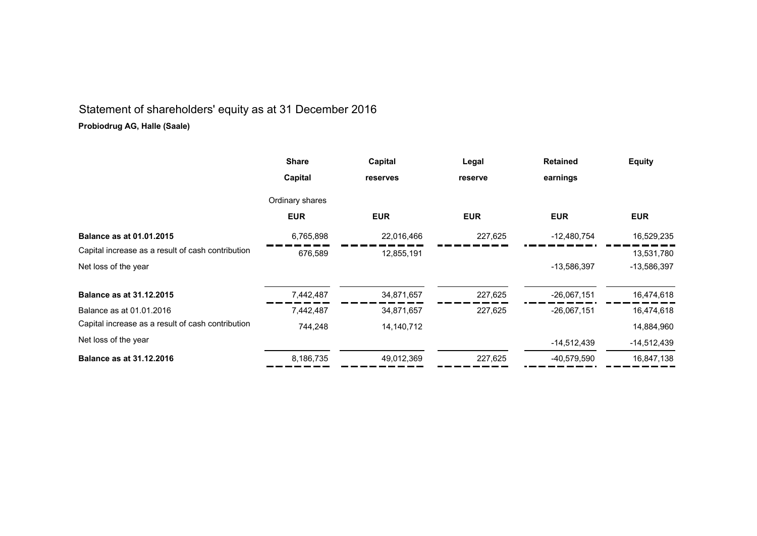# Statement of shareholders' equity as at 31 December 2016

#### **Probiodrug AG, Halle (Saale)**

|                                                   | <b>Share</b>    | Capital    | Legal      | <b>Retained</b> | <b>Equity</b> |
|---------------------------------------------------|-----------------|------------|------------|-----------------|---------------|
|                                                   | Capital         | reserves   | reserve    | earnings        |               |
|                                                   | Ordinary shares |            |            |                 |               |
|                                                   | <b>EUR</b>      | <b>EUR</b> | <b>EUR</b> | <b>EUR</b>      | <b>EUR</b>    |
| <b>Balance as at 01.01.2015</b>                   | 6,765,898       | 22,016,466 | 227,625    | $-12,480,754$   | 16,529,235    |
| Capital increase as a result of cash contribution | 676,589         | 12,855,191 |            |                 | 13,531,780    |
| Net loss of the year                              |                 |            |            | -13,586,397     | $-13,586,397$ |
| <b>Balance as at 31.12.2015</b>                   | 7,442,487       | 34,871,657 | 227,625    | $-26,067,151$   | 16,474,618    |
| Balance as at 01.01.2016                          | 7,442,487       | 34,871,657 | 227,625    | $-26,067,151$   | 16,474,618    |
| Capital increase as a result of cash contribution | 744,248         | 14,140,712 |            |                 | 14,884,960    |
| Net loss of the year                              |                 |            |            | $-14,512,439$   | -14,512,439   |
| <b>Balance as at 31.12.2016</b>                   | 8,186,735       | 49,012,369 | 227,625    | -40,579,590     | 16,847,138    |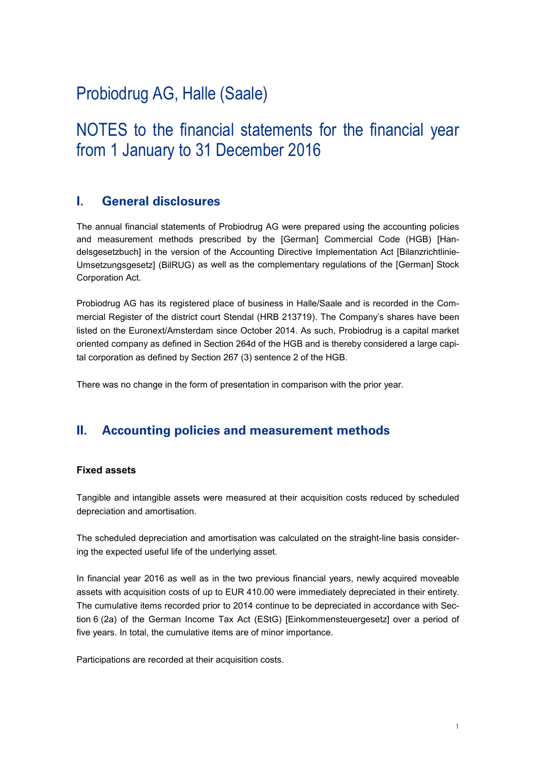# Probiodrug AG, Halle (Saale)

# NOTES to the financial statements for the financial year from 1 January to 31 December 2016

### **I. General disclosures**

The annual financial statements of Probiodrug AG were prepared using the accounting policies and measurement methods prescribed by the [German] Commercial Code (HGB) [Handelsgesetzbuch] in the version of the Accounting Directive Implementation Act [Bilanzrichtlinie-Umsetzungsgesetz] (BilRUG) as well as the complementary regulations of the [German] Stock Corporation Act.

Probiodrug AG has its registered place of business in Halle/Saale and is recorded in the Commercial Register of the district court Stendal (HRB 213719). The Company's shares have been listed on the Euronext/Amsterdam since October 2014. As such, Probiodrug is a capital market oriented company as defined in Section 264d of the HGB and is thereby considered a large capital corporation as defined by Section 267 (3) sentence 2 of the HGB.

There was no change in the form of presentation in comparison with the prior year.

### **II. Accounting policies and measurement methods**

#### **Fixed assets**

Tangible and intangible assets were measured at their acquisition costs reduced by scheduled depreciation and amortisation.

The scheduled depreciation and amortisation was calculated on the straight-line basis considering the expected useful life of the underlying asset.

In financial year 2016 as well as in the two previous financial years, newly acquired moveable assets with acquisition costs of up to EUR 410.00 were immediately depreciated in their entirety. The cumulative items recorded prior to 2014 continue to be depreciated in accordance with Section 6 (2a) of the German Income Tax Act (EStG) [Einkommensteuergesetz] over a period of five years. In total, the cumulative items are of minor importance.

Participations are recorded at their acquisition costs.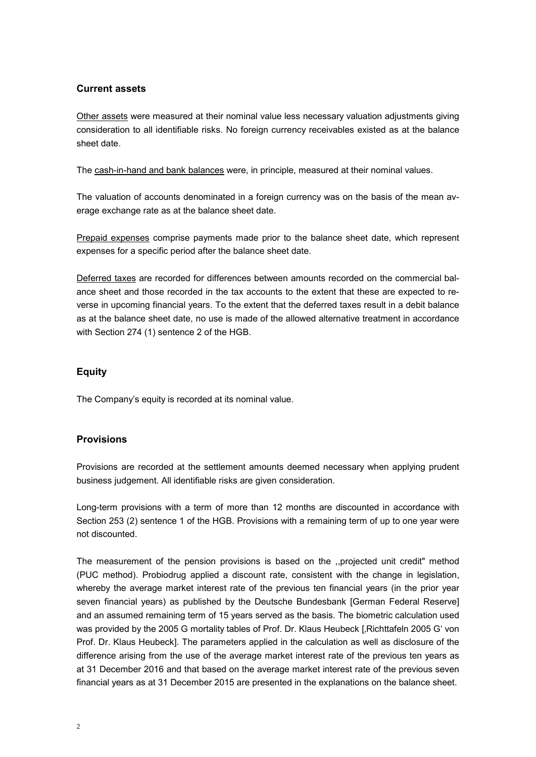#### **Current assets**

Other assets were measured at their nominal value less necessary valuation adjustments giving consideration to all identifiable risks. No foreign currency receivables existed as at the balance sheet date.

The cash-in-hand and bank balances were, in principle, measured at their nominal values.

The valuation of accounts denominated in a foreign currency was on the basis of the mean average exchange rate as at the balance sheet date.

Prepaid expenses comprise payments made prior to the balance sheet date, which represent expenses for a specific period after the balance sheet date.

Deferred taxes are recorded for differences between amounts recorded on the commercial balance sheet and those recorded in the tax accounts to the extent that these are expected to reverse in upcoming financial years. To the extent that the deferred taxes result in a debit balance as at the balance sheet date, no use is made of the allowed alternative treatment in accordance with Section 274 (1) sentence 2 of the HGB.

#### **Equity**

The Company's equity is recorded at its nominal value.

#### **Provisions**

Provisions are recorded at the settlement amounts deemed necessary when applying prudent business judgement. All identifiable risks are given consideration.

Long-term provisions with a term of more than 12 months are discounted in accordance with Section 253 (2) sentence 1 of the HGB. Provisions with a remaining term of up to one year were not discounted.

The measurement of the pension provisions is based on the ,,projected unit credit" method (PUC method). Probiodrug applied a discount rate, consistent with the change in legislation, whereby the average market interest rate of the previous ten financial years (in the prior year seven financial years) as published by the Deutsche Bundesbank [German Federal Reserve] and an assumed remaining term of 15 years served as the basis. The biometric calculation used was provided by the 2005 G mortality tables of Prof. Dr. Klaus Heubeck [, Richttafeln 2005 G' von Prof. Dr. Klaus Heubeck]. The parameters applied in the calculation as well as disclosure of the difference arising from the use of the average market interest rate of the previous ten years as at 31 December 2016 and that based on the average market interest rate of the previous seven financial years as at 31 December 2015 are presented in the explanations on the balance sheet.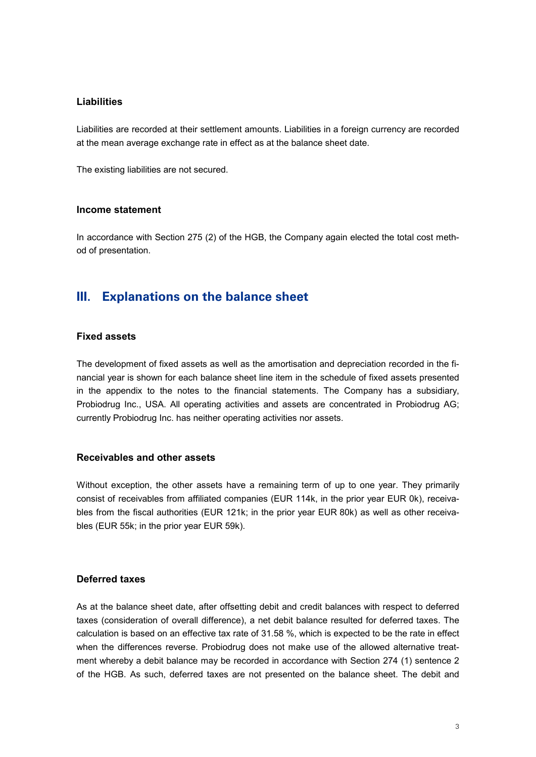#### **Liabilities**

Liabilities are recorded at their settlement amounts. Liabilities in a foreign currency are recorded at the mean average exchange rate in effect as at the balance sheet date.

The existing liabilities are not secured.

#### **Income statement**

In accordance with Section 275 (2) of the HGB, the Company again elected the total cost method of presentation.

#### **III. Explanations on the balance sheet**

#### **Fixed assets**

The development of fixed assets as well as the amortisation and depreciation recorded in the financial year is shown for each balance sheet line item in the schedule of fixed assets presented in the appendix to the notes to the financial statements. The Company has a subsidiary, Probiodrug Inc., USA. All operating activities and assets are concentrated in Probiodrug AG; currently Probiodrug Inc. has neither operating activities nor assets.

#### **Receivables and other assets**

Without exception, the other assets have a remaining term of up to one year. They primarily consist of receivables from affiliated companies (EUR 114k, in the prior year EUR 0k), receivables from the fiscal authorities (EUR 121k; in the prior year EUR 80k) as well as other receivables (EUR 55k; in the prior year EUR 59k).

#### **Deferred taxes**

As at the balance sheet date, after offsetting debit and credit balances with respect to deferred taxes (consideration of overall difference), a net debit balance resulted for deferred taxes. The calculation is based on an effective tax rate of 31.58 %, which is expected to be the rate in effect when the differences reverse. Probiodrug does not make use of the allowed alternative treatment whereby a debit balance may be recorded in accordance with Section 274 (1) sentence 2 of the HGB. As such, deferred taxes are not presented on the balance sheet. The debit and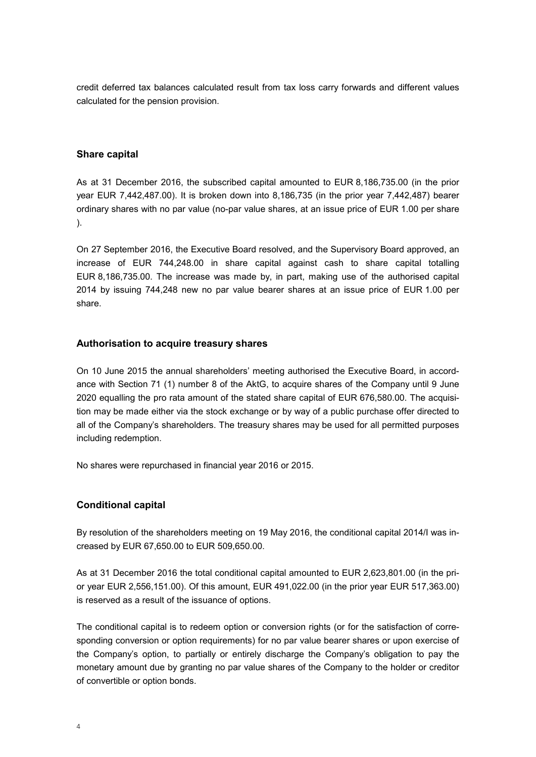credit deferred tax balances calculated result from tax loss carry forwards and different values calculated for the pension provision.

#### **Share capital**

As at 31 December 2016, the subscribed capital amounted to EUR 8,186,735.00 (in the prior year EUR 7,442,487.00). It is broken down into 8,186,735 (in the prior year 7,442,487) bearer ordinary shares with no par value (no-par value shares, at an issue price of EUR 1.00 per share ).

On 27 September 2016, the Executive Board resolved, and the Supervisory Board approved, an increase of EUR 744,248.00 in share capital against cash to share capital totalling EUR 8,186,735.00. The increase was made by, in part, making use of the authorised capital 2014 by issuing 744,248 new no par value bearer shares at an issue price of EUR 1.00 per share.

#### **Authorisation to acquire treasury shares**

On 10 June 2015 the annual shareholders' meeting authorised the Executive Board, in accordance with Section 71 (1) number 8 of the AktG, to acquire shares of the Company until 9 June 2020 equalling the pro rata amount of the stated share capital of EUR 676,580.00. The acquisition may be made either via the stock exchange or by way of a public purchase offer directed to all of the Company's shareholders. The treasury shares may be used for all permitted purposes including redemption.

No shares were repurchased in financial year 2016 or 2015.

#### **Conditional capital**

By resolution of the shareholders meeting on 19 May 2016, the conditional capital 2014/I was increased by EUR 67,650.00 to EUR 509,650.00.

As at 31 December 2016 the total conditional capital amounted to EUR 2,623,801.00 (in the prior year EUR 2,556,151.00). Of this amount, EUR 491,022.00 (in the prior year EUR 517,363.00) is reserved as a result of the issuance of options.

The conditional capital is to redeem option or conversion rights (or for the satisfaction of corresponding conversion or option requirements) for no par value bearer shares or upon exercise of the Company's option, to partially or entirely discharge the Company's obligation to pay the monetary amount due by granting no par value shares of the Company to the holder or creditor of convertible or option bonds.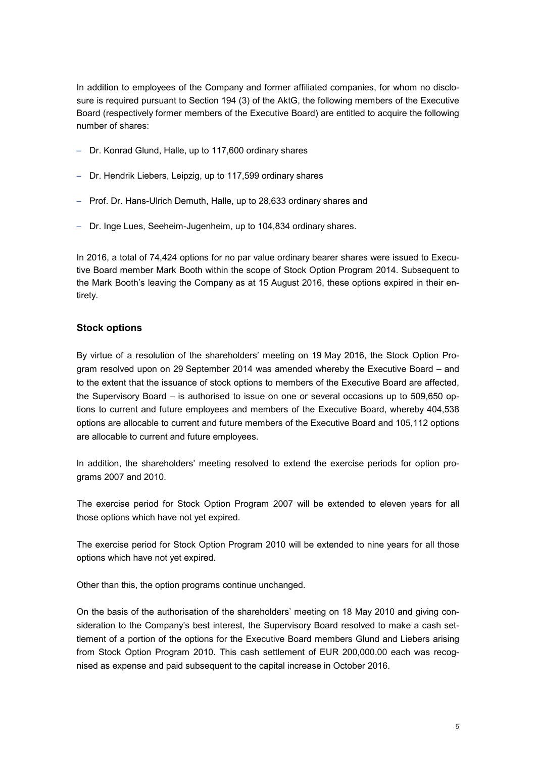In addition to employees of the Company and former affiliated companies, for whom no disclosure is required pursuant to Section 194 (3) of the AktG, the following members of the Executive Board (respectively former members of the Executive Board) are entitled to acquire the following number of shares:

- Dr. Konrad Glund, Halle, up to 117,600 ordinary shares
- Dr. Hendrik Liebers, Leipzig, up to 117,599 ordinary shares
- Prof. Dr. Hans-Ulrich Demuth, Halle, up to 28,633 ordinary shares and
- Dr. Inge Lues, Seeheim-Jugenheim, up to 104,834 ordinary shares.

In 2016, a total of 74,424 options for no par value ordinary bearer shares were issued to Executive Board member Mark Booth within the scope of Stock Option Program 2014. Subsequent to the Mark Booth's leaving the Company as at 15 August 2016, these options expired in their entirety.

#### **Stock options**

By virtue of a resolution of the shareholders' meeting on 19 May 2016, the Stock Option Program resolved upon on 29 September 2014 was amended whereby the Executive Board – and to the extent that the issuance of stock options to members of the Executive Board are affected, the Supervisory Board – is authorised to issue on one or several occasions up to 509,650 options to current and future employees and members of the Executive Board, whereby 404,538 options are allocable to current and future members of the Executive Board and 105,112 options are allocable to current and future employees.

In addition, the shareholders' meeting resolved to extend the exercise periods for option programs 2007 and 2010.

The exercise period for Stock Option Program 2007 will be extended to eleven years for all those options which have not yet expired.

The exercise period for Stock Option Program 2010 will be extended to nine years for all those options which have not yet expired.

Other than this, the option programs continue unchanged.

On the basis of the authorisation of the shareholders' meeting on 18 May 2010 and giving consideration to the Company's best interest, the Supervisory Board resolved to make a cash settlement of a portion of the options for the Executive Board members Glund and Liebers arising from Stock Option Program 2010. This cash settlement of EUR 200,000.00 each was recognised as expense and paid subsequent to the capital increase in October 2016.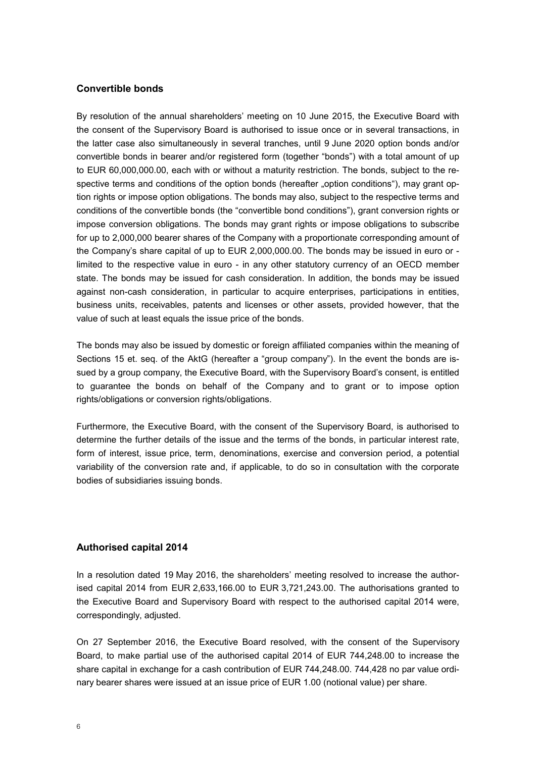#### **Convertible bonds**

By resolution of the annual shareholders' meeting on 10 June 2015, the Executive Board with the consent of the Supervisory Board is authorised to issue once or in several transactions, in the latter case also simultaneously in several tranches, until 9 June 2020 option bonds and/or convertible bonds in bearer and/or registered form (together "bonds") with a total amount of up to EUR 60,000,000.00, each with or without a maturity restriction. The bonds, subject to the respective terms and conditions of the option bonds (hereafter "option conditions"), may grant option rights or impose option obligations. The bonds may also, subject to the respective terms and conditions of the convertible bonds (the "convertible bond conditions"), grant conversion rights or impose conversion obligations. The bonds may grant rights or impose obligations to subscribe for up to 2,000,000 bearer shares of the Company with a proportionate corresponding amount of the Company's share capital of up to EUR 2,000,000.00. The bonds may be issued in euro or limited to the respective value in euro - in any other statutory currency of an OECD member state. The bonds may be issued for cash consideration. In addition, the bonds may be issued against non-cash consideration, in particular to acquire enterprises, participations in entities, business units, receivables, patents and licenses or other assets, provided however, that the value of such at least equals the issue price of the bonds.

The bonds may also be issued by domestic or foreign affiliated companies within the meaning of Sections 15 et. seq. of the AktG (hereafter a "group company"). In the event the bonds are issued by a group company, the Executive Board, with the Supervisory Board's consent, is entitled to guarantee the bonds on behalf of the Company and to grant or to impose option rights/obligations or conversion rights/obligations.

Furthermore, the Executive Board, with the consent of the Supervisory Board, is authorised to determine the further details of the issue and the terms of the bonds, in particular interest rate, form of interest, issue price, term, denominations, exercise and conversion period, a potential variability of the conversion rate and, if applicable, to do so in consultation with the corporate bodies of subsidiaries issuing bonds.

#### **Authorised capital 2014**

In a resolution dated 19 May 2016, the shareholders' meeting resolved to increase the authorised capital 2014 from EUR 2,633,166.00 to EUR 3,721,243.00. The authorisations granted to the Executive Board and Supervisory Board with respect to the authorised capital 2014 were, correspondingly, adjusted.

On 27 September 2016, the Executive Board resolved, with the consent of the Supervisory Board, to make partial use of the authorised capital 2014 of EUR 744,248.00 to increase the share capital in exchange for a cash contribution of EUR 744,248.00. 744,428 no par value ordinary bearer shares were issued at an issue price of EUR 1.00 (notional value) per share.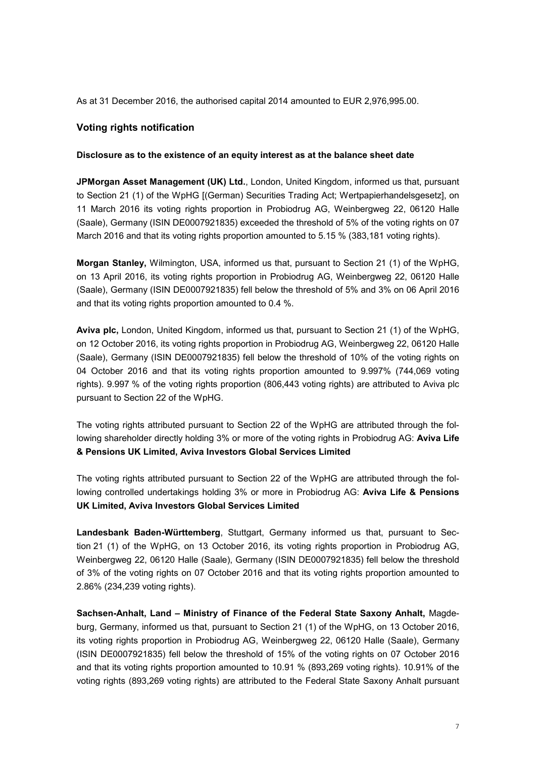As at 31 December 2016, the authorised capital 2014 amounted to EUR 2,976,995.00.

#### **Voting rights notification**

#### **Disclosure as to the existence of an equity interest as at the balance sheet date**

**JPMorgan Asset Management (UK) Ltd.**, London, United Kingdom, informed us that, pursuant to Section 21 (1) of the WpHG [(German) Securities Trading Act; Wertpapierhandelsgesetz], on 11 March 2016 its voting rights proportion in Probiodrug AG, Weinbergweg 22, 06120 Halle (Saale), Germany (ISIN DE0007921835) exceeded the threshold of 5% of the voting rights on 07 March 2016 and that its voting rights proportion amounted to 5.15 % (383,181 voting rights).

**Morgan Stanley,** Wilmington, USA, informed us that, pursuant to Section 21 (1) of the WpHG, on 13 April 2016, its voting rights proportion in Probiodrug AG, Weinbergweg 22, 06120 Halle (Saale), Germany (ISIN DE0007921835) fell below the threshold of 5% and 3% on 06 April 2016 and that its voting rights proportion amounted to 0.4 %.

**Aviva plc,** London, United Kingdom, informed us that, pursuant to Section 21 (1) of the WpHG, on 12 October 2016, its voting rights proportion in Probiodrug AG, Weinbergweg 22, 06120 Halle (Saale), Germany (ISIN DE0007921835) fell below the threshold of 10% of the voting rights on 04 October 2016 and that its voting rights proportion amounted to 9.997% (744,069 voting rights). 9.997 % of the voting rights proportion (806,443 voting rights) are attributed to Aviva plc pursuant to Section 22 of the WpHG.

The voting rights attributed pursuant to Section 22 of the WpHG are attributed through the following shareholder directly holding 3% or more of the voting rights in Probiodrug AG: **Aviva Life & Pensions UK Limited, Aviva Investors Global Services Limited**

The voting rights attributed pursuant to Section 22 of the WpHG are attributed through the following controlled undertakings holding 3% or more in Probiodrug AG: **Aviva Life & Pensions UK Limited, Aviva Investors Global Services Limited**

**Landesbank Baden-Württemberg**, Stuttgart, Germany informed us that, pursuant to Section 21 (1) of the WpHG, on 13 October 2016, its voting rights proportion in Probiodrug AG, Weinbergweg 22, 06120 Halle (Saale), Germany (ISIN DE0007921835) fell below the threshold of 3% of the voting rights on 07 October 2016 and that its voting rights proportion amounted to 2.86% (234,239 voting rights).

**Sachsen-Anhalt, Land – Ministry of Finance of the Federal State Saxony Anhalt,** Magdeburg, Germany, informed us that, pursuant to Section 21 (1) of the WpHG, on 13 October 2016, its voting rights proportion in Probiodrug AG, Weinbergweg 22, 06120 Halle (Saale), Germany (ISIN DE0007921835) fell below the threshold of 15% of the voting rights on 07 October 2016 and that its voting rights proportion amounted to 10.91 % (893,269 voting rights). 10.91% of the voting rights (893,269 voting rights) are attributed to the Federal State Saxony Anhalt pursuant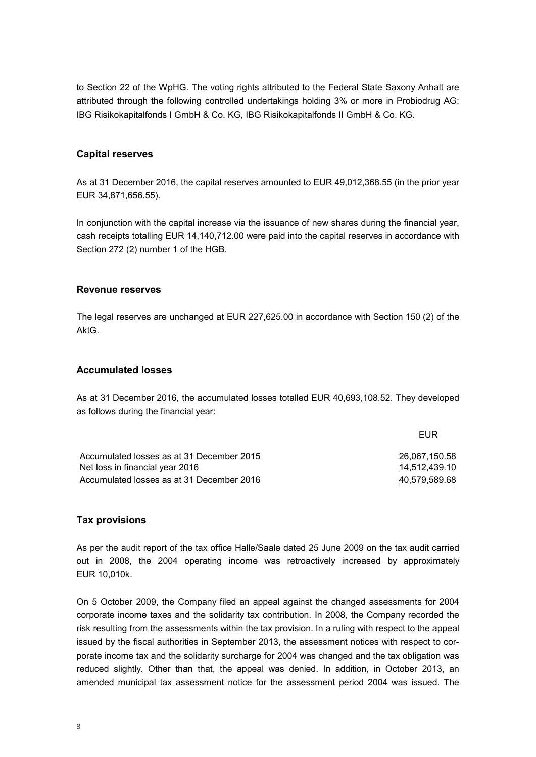to Section 22 of the WpHG. The voting rights attributed to the Federal State Saxony Anhalt are attributed through the following controlled undertakings holding 3% or more in Probiodrug AG: IBG Risikokapitalfonds I GmbH & Co. KG, IBG Risikokapitalfonds II GmbH & Co. KG.

#### **Capital reserves**

As at 31 December 2016, the capital reserves amounted to EUR 49,012,368.55 (in the prior year EUR 34,871,656.55).

In conjunction with the capital increase via the issuance of new shares during the financial year, cash receipts totalling EUR 14,140,712.00 were paid into the capital reserves in accordance with Section 272 (2) number 1 of the HGB.

#### **Revenue reserves**

The legal reserves are unchanged at EUR 227,625.00 in accordance with Section 150 (2) of the AktG.

#### **Accumulated losses**

As at 31 December 2016, the accumulated losses totalled EUR 40,693,108.52. They developed as follows during the financial year:

|                                           | FUR           |
|-------------------------------------------|---------------|
| Accumulated losses as at 31 December 2015 | 26.067.150.58 |
| Net loss in financial year 2016           | 14,512,439.10 |
| Accumulated losses as at 31 December 2016 | 40.579.589.68 |

#### **Tax provisions**

As per the audit report of the tax office Halle/Saale dated 25 June 2009 on the tax audit carried out in 2008, the 2004 operating income was retroactively increased by approximately EUR 10,010k.

On 5 October 2009, the Company filed an appeal against the changed assessments for 2004 corporate income taxes and the solidarity tax contribution. In 2008, the Company recorded the risk resulting from the assessments within the tax provision. In a ruling with respect to the appeal issued by the fiscal authorities in September 2013, the assessment notices with respect to corporate income tax and the solidarity surcharge for 2004 was changed and the tax obligation was reduced slightly. Other than that, the appeal was denied. In addition, in October 2013, an amended municipal tax assessment notice for the assessment period 2004 was issued. The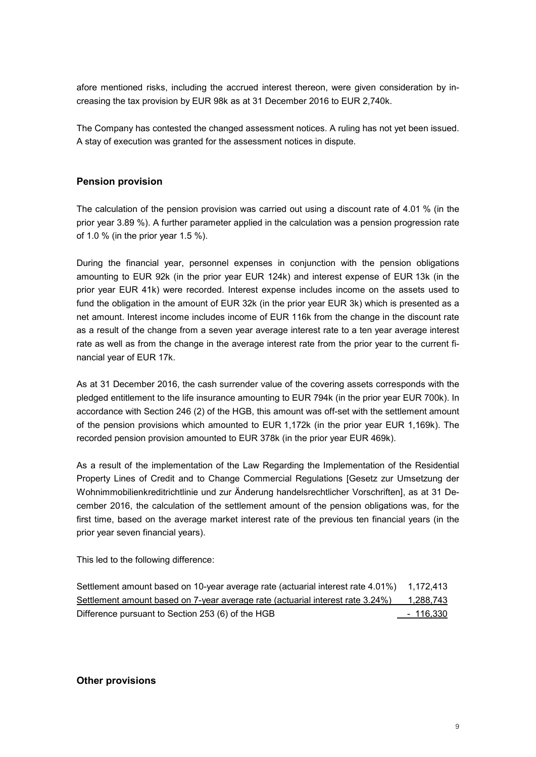afore mentioned risks, including the accrued interest thereon, were given consideration by increasing the tax provision by EUR 98k as at 31 December 2016 to EUR 2,740k.

The Company has contested the changed assessment notices. A ruling has not yet been issued. A stay of execution was granted for the assessment notices in dispute.

#### **Pension provision**

The calculation of the pension provision was carried out using a discount rate of 4.01 % (in the prior year 3.89 %). A further parameter applied in the calculation was a pension progression rate of 1.0 % (in the prior year 1.5 %).

During the financial year, personnel expenses in conjunction with the pension obligations amounting to EUR 92k (in the prior year EUR 124k) and interest expense of EUR 13k (in the prior year EUR 41k) were recorded. Interest expense includes income on the assets used to fund the obligation in the amount of EUR 32k (in the prior year EUR 3k) which is presented as a net amount. Interest income includes income of EUR 116k from the change in the discount rate as a result of the change from a seven year average interest rate to a ten year average interest rate as well as from the change in the average interest rate from the prior year to the current financial year of EUR 17k.

As at 31 December 2016, the cash surrender value of the covering assets corresponds with the pledged entitlement to the life insurance amounting to EUR 794k (in the prior year EUR 700k). In accordance with Section 246 (2) of the HGB, this amount was off-set with the settlement amount of the pension provisions which amounted to EUR 1,172k (in the prior year EUR 1,169k). The recorded pension provision amounted to EUR 378k (in the prior year EUR 469k).

As a result of the implementation of the Law Regarding the Implementation of the Residential Property Lines of Credit and to Change Commercial Regulations [Gesetz zur Umsetzung der Wohnimmobilienkreditrichtlinie und zur Änderung handelsrechtlicher Vorschriften], as at 31 December 2016, the calculation of the settlement amount of the pension obligations was, for the first time, based on the average market interest rate of the previous ten financial years (in the prior year seven financial years).

This led to the following difference:

| Settlement amount based on 10-year average rate (actuarial interest rate 4.01%) 1,172,413 |                  |
|-------------------------------------------------------------------------------------------|------------------|
| Settlement amount based on 7-year average rate (actuarial interest rate 3.24%)            | 1,288,743        |
| Difference pursuant to Section 253 (6) of the HGB                                         | <u>- 116,330</u> |

#### **Other provisions**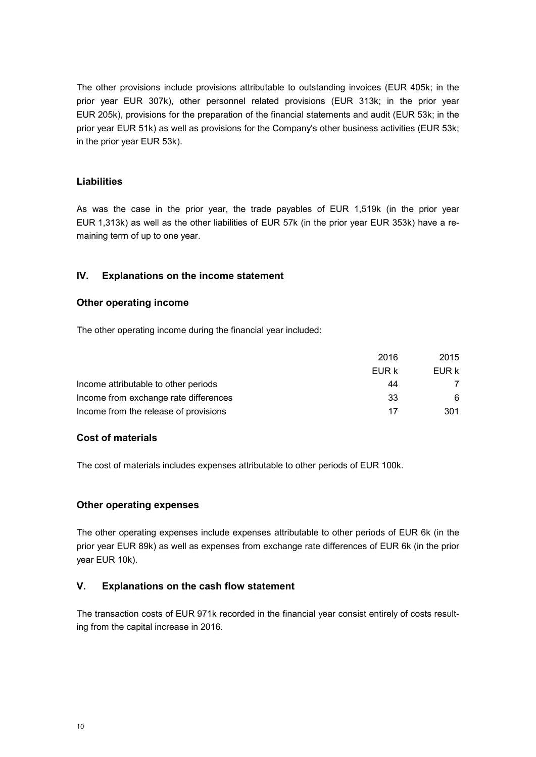The other provisions include provisions attributable to outstanding invoices (EUR 405k; in the prior year EUR 307k), other personnel related provisions (EUR 313k; in the prior year EUR 205k), provisions for the preparation of the financial statements and audit (EUR 53k; in the prior year EUR 51k) as well as provisions for the Company's other business activities (EUR 53k; in the prior year EUR 53k).

#### **Liabilities**

As was the case in the prior year, the trade payables of EUR 1,519k (in the prior year EUR 1,313k) as well as the other liabilities of EUR 57k (in the prior year EUR 353k) have a remaining term of up to one year.

#### **IV. Explanations on the income statement**

#### **Other operating income**

The other operating income during the financial year included:

|                                       | 2016  | 2015  |
|---------------------------------------|-------|-------|
|                                       | EUR k | EUR k |
| Income attributable to other periods  | 44    |       |
| Income from exchange rate differences | 33    | 6     |
| Income from the release of provisions | 17    | 301   |

#### **Cost of materials**

The cost of materials includes expenses attributable to other periods of EUR 100k.

#### **Other operating expenses**

The other operating expenses include expenses attributable to other periods of EUR 6k (in the prior year EUR 89k) as well as expenses from exchange rate differences of EUR 6k (in the prior year EUR 10k).

#### **V. Explanations on the cash flow statement**

The transaction costs of EUR 971k recorded in the financial year consist entirely of costs resulting from the capital increase in 2016.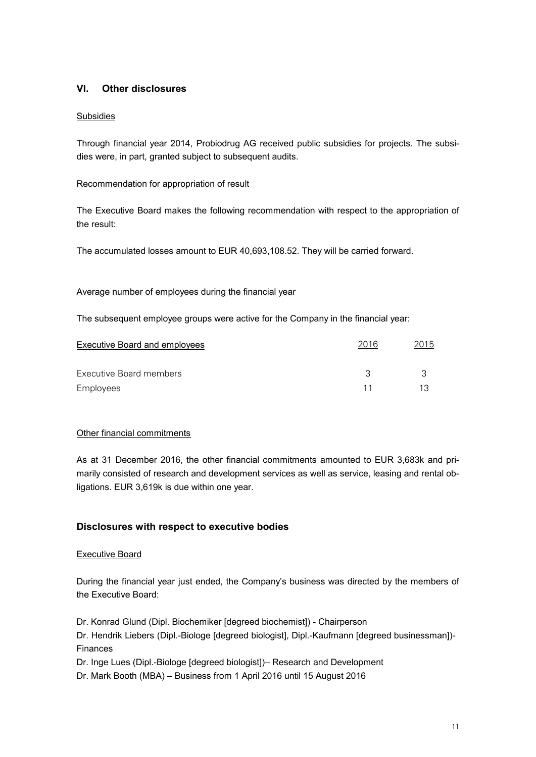#### **VI. Other disclosures**

#### Subsidies

Through financial year 2014, Probiodrug AG received public subsidies for projects. The subsidies were, in part, granted subject to subsequent audits.

#### Recommendation for appropriation of result

The Executive Board makes the following recommendation with respect to the appropriation of the result:

The accumulated losses amount to EUR 40,693,108.52. They will be carried forward.

#### Average number of employees during the financial year

The subsequent employee groups were active for the Company in the financial year:

| Executive Board and employees | 2016 | 2015 |
|-------------------------------|------|------|
| Executive Board members       |      |      |
| Employees                     | 11   | 13   |

#### Other financial commitments

As at 31 December 2016, the other financial commitments amounted to EUR 3,683k and primarily consisted of research and development services as well as service, leasing and rental obligations. EUR 3,619k is due within one year.

#### **Disclosures with respect to executive bodies**

#### Executive Board

During the financial year just ended, the Company's business was directed by the members of the Executive Board:

Dr. Konrad Glund (Dipl. Biochemiker [degreed biochemist]) - Chairperson

Dr. Hendrik Liebers (Dipl.-Biologe [degreed biologist], Dipl.-Kaufmann [degreed businessman])- Finances

Dr. Inge Lues (Dipl.-Biologe [degreed biologist])– Research and Development

Dr. Mark Booth (MBA) – Business from 1 April 2016 until 15 August 2016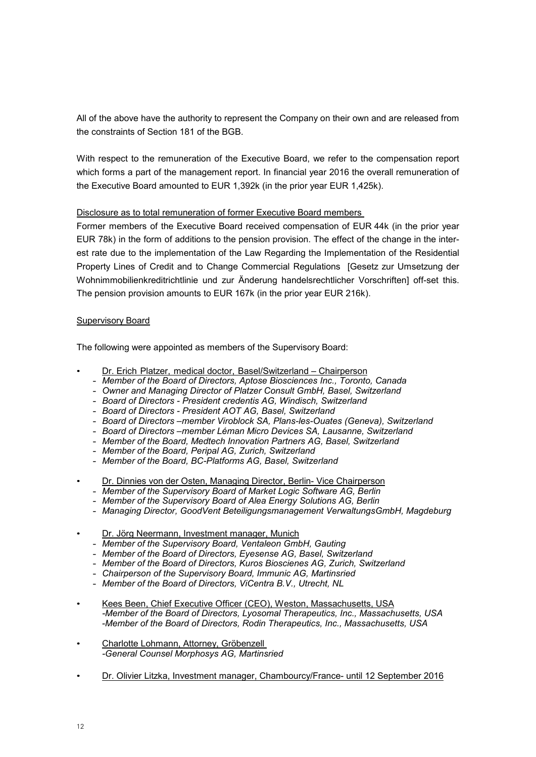All of the above have the authority to represent the Company on their own and are released from the constraints of Section 181 of the BGB.

With respect to the remuneration of the Executive Board, we refer to the compensation report which forms a part of the management report. In financial year 2016 the overall remuneration of the Executive Board amounted to EUR 1,392k (in the prior year EUR 1,425k).

#### Disclosure as to total remuneration of former Executive Board members

Former members of the Executive Board received compensation of EUR 44k (in the prior year EUR 78k) in the form of additions to the pension provision. The effect of the change in the interest rate due to the implementation of the Law Regarding the Implementation of the Residential Property Lines of Credit and to Change Commercial Regulations [Gesetz zur Umsetzung der Wohnimmobilienkreditrichtlinie und zur Änderung handelsrechtlicher Vorschriften] off-set this. The pension provision amounts to EUR 167k (in the prior year EUR 216k).

#### Supervisory Board

The following were appointed as members of the Supervisory Board:

- Dr. Erich Platzer, medical doctor, Basel/Switzerland Chairperson
	- *Member of the Board of Directors, Aptose Biosciences Inc., Toronto, Canada*
	- *Owner and Managing Director of Platzer Consult GmbH, Basel, Switzerland*
	- *Board of Directors President credentis AG, Windisch, Switzerland*
	- *Board of Directors President AOT AG, Basel, Switzerland*
	- *Board of Directors –member Viroblock SA, Plans-les-Ouates (Geneva), Switzerland*
	- *Board of Directors –member Léman Micro Devices SA, Lausanne, Switzerland*
	- *Member of the Board, Medtech Innovation Partners AG, Basel, Switzerland*
	- *Member of the Board, Peripal AG, Zurich, Switzerland*
	- *Member of the Board, BC-Platforms AG, Basel, Switzerland*
- Dr. Dinnies von der Osten, Managing Director, Berlin- Vice Chairperson
	- *Member of the Supervisory Board of Market Logic Software AG, Berlin*
	- *Member of the Supervisory Board of Alea Energy Solutions AG, Berlin*
	- *Managing Director, GoodVent Beteiligungsmanagement VerwaltungsGmbH, Magdeburg*
- Dr. Jörg Neermann, Investment manager, Munich
	- *Member of the Supervisory Board, Ventaleon GmbH, Gauting*
	- *Member of the Board of Directors, Eyesense AG, Basel, Switzerland*
	- *Member of the Board of Directors, Kuros Bioscienes AG, Zurich, Switzerland*
	- *Chairperson of the Supervisory Board, Immunic AG, Martinsried*
	- *Member of the Board of Directors, ViCentra B.V., Utrecht, NL*
- Kees Been, Chief Executive Officer (CEO), Weston, Massachusetts, USA *-Member of the Board of Directors, Lyosomal Therapeutics, Inc., Massachusetts, USA -Member of the Board of Directors, Rodin Therapeutics, Inc., Massachusetts, USA*
- Charlotte Lohmann, Attorney, Gröbenzell *-General Counsel Morphosys AG, Martinsried*
- Dr. Olivier Litzka, Investment manager, Chambourcy/France- until 12 September 2016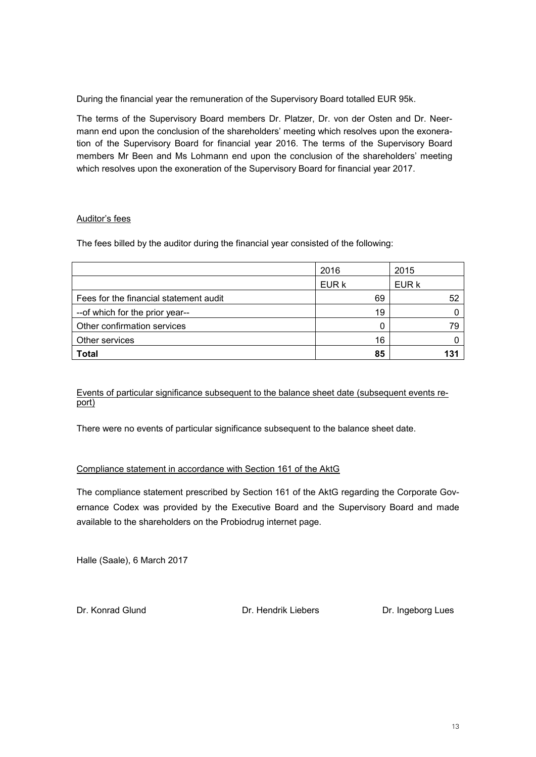During the financial year the remuneration of the Supervisory Board totalled EUR 95k.

The terms of the Supervisory Board members Dr. Platzer, Dr. von der Osten and Dr. Neermann end upon the conclusion of the shareholders' meeting which resolves upon the exoneration of the Supervisory Board for financial year 2016. The terms of the Supervisory Board members Mr Been and Ms Lohmann end upon the conclusion of the shareholders' meeting which resolves upon the exoneration of the Supervisory Board for financial year 2017.

#### Auditor's fees

The fees billed by the auditor during the financial year consisted of the following:

|                                        | 2016  | 2015  |
|----------------------------------------|-------|-------|
|                                        | EUR k | EUR k |
| Fees for the financial statement audit | 69    | 52    |
| --of which for the prior year--        | 19    |       |
| Other confirmation services            |       | 79    |
| Other services                         | 16    |       |
| <b>Total</b>                           | 85    | 131   |

Events of particular significance subsequent to the balance sheet date (subsequent events report)

There were no events of particular significance subsequent to the balance sheet date.

#### Compliance statement in accordance with Section 161 of the AktG

The compliance statement prescribed by Section 161 of the AktG regarding the Corporate Governance Codex was provided by the Executive Board and the Supervisory Board and made available to the shareholders on the Probiodrug internet page.

Halle (Saale), 6 March 2017

Dr. Konrad Glund Dr. Hendrik Liebers Dr. Ingeborg Lues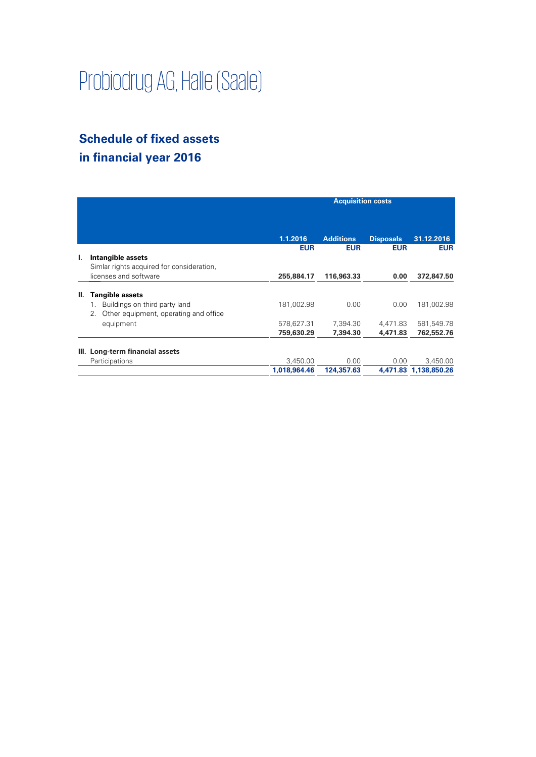# Probiodrug AG, Halle (Saale)

# **Schedule of fixed assets in financial year 2016**

|    |                                             | <b>Acquisition costs</b> |                  |                  |                       |
|----|---------------------------------------------|--------------------------|------------------|------------------|-----------------------|
|    |                                             | 1.1.2016                 | <b>Additions</b> | <b>Disposals</b> | 31.12.2016            |
|    |                                             | <b>EUR</b>               | <b>EUR</b>       | <b>EUR</b>       | <b>EUR</b>            |
| I. | Intangible assets                           |                          |                  |                  |                       |
|    | Simlar rights acquired for consideration,   |                          |                  |                  |                       |
|    | licenses and software                       | 255,884.17               | 116,963.33       | 0.00             | 372,847.50            |
| Ш. | <b>Tangible assets</b>                      |                          |                  |                  |                       |
|    | Buildings on third party land<br>1.         | 181,002.98               | 0.00             | 0.00             | 181,002.98            |
|    | Other equipment, operating and office<br>2. |                          |                  |                  |                       |
|    | equipment                                   | 578,627.31               | 7,394.30         | 4,471.83         | 581,549.78            |
|    |                                             | 759,630.29               | 7,394.30         | 4,471.83         | 762,552.76            |
| Ш. | Long-term financial assets                  |                          |                  |                  |                       |
|    | Participations                              | 3,450.00                 | 0.00             | 0.00             | 3,450.00              |
|    |                                             | 1,018,964.46             | 124,357.63       |                  | 4,471.83 1,138,850.26 |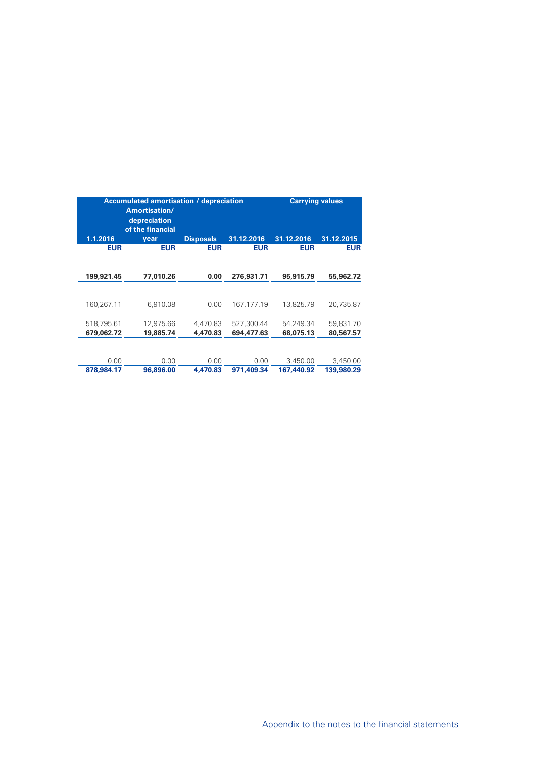| <b>Accumulated amortisation / depreciation</b><br>Amortisation/<br>depreciation<br>of the financial |                        |                      |                          | <b>Carrying values</b> |                        |  |
|-----------------------------------------------------------------------------------------------------|------------------------|----------------------|--------------------------|------------------------|------------------------|--|
| 1.1.2016                                                                                            | year                   | <b>Disposals</b>     | 31.12.2016               | 31.12.2016             | 31.12.2015             |  |
| <b>EUR</b>                                                                                          | <b>EUR</b>             | <b>EUR</b>           | <b>EUR</b>               | <b>EUR</b>             | <b>EUR</b>             |  |
| 199,921.45                                                                                          | 77,010.26              | 0.00                 | 276,931.71               | 95,915.79              | 55,962.72              |  |
| 160,267.11                                                                                          | 6,910.08               | 0.00                 | 167, 177. 19             | 13,825.79              | 20.735.87              |  |
| 518,795.61<br>679,062.72                                                                            | 12,975.66<br>19,885.74 | 4,470.83<br>4,470.83 | 527,300.44<br>694,477.63 | 54.249.34<br>68,075.13 | 59,831.70<br>80,567.57 |  |
| 0.00<br>878,984.17                                                                                  | 0.00<br>96,896.00      | 0.00<br>4.470.83     | 0.00<br>971.409.34       | 3,450.00<br>167,440.92 | 3,450.00<br>139,980.29 |  |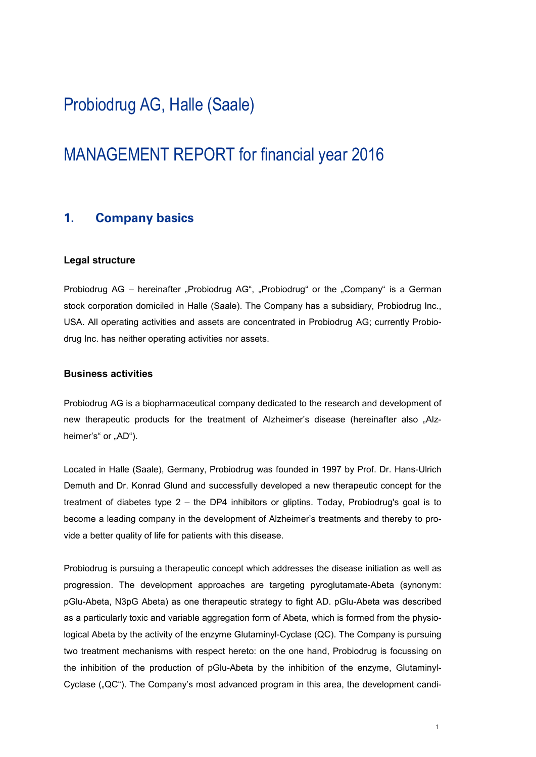# Probiodrug AG, Halle (Saale)

# MANAGEMENT REPORT for financial year 2016

#### **1. Company basics**

#### **Legal structure**

Probiodrug AG – hereinafter "Probiodrug AG", "Probiodrug" or the "Company" is a German stock corporation domiciled in Halle (Saale). The Company has a subsidiary, Probiodrug Inc., USA. All operating activities and assets are concentrated in Probiodrug AG; currently Probiodrug Inc. has neither operating activities nor assets.

#### **Business activities**

Probiodrug AG is a biopharmaceutical company dedicated to the research and development of new therapeutic products for the treatment of Alzheimer's disease (hereinafter also "Alzheimer's" or "AD").

Located in Halle (Saale), Germany, Probiodrug was founded in 1997 by Prof. Dr. Hans-Ulrich Demuth and Dr. Konrad Glund and successfully developed a new therapeutic concept for the treatment of diabetes type 2 – the DP4 inhibitors or gliptins. Today, Probiodrug's goal is to become a leading company in the development of Alzheimer's treatments and thereby to provide a better quality of life for patients with this disease.

Probiodrug is pursuing a therapeutic concept which addresses the disease initiation as well as progression. The development approaches are targeting pyroglutamate-Abeta (synonym: pGlu-Abeta, N3pG Abeta) as one therapeutic strategy to fight AD. pGlu-Abeta was described as a particularly toxic and variable aggregation form of Abeta, which is formed from the physiological Abeta by the activity of the enzyme Glutaminyl-Cyclase (QC). The Company is pursuing two treatment mechanisms with respect hereto: on the one hand, Probiodrug is focussing on the inhibition of the production of pGlu-Abeta by the inhibition of the enzyme, Glutaminyl-Cyclase ("QC"). The Company's most advanced program in this area, the development candi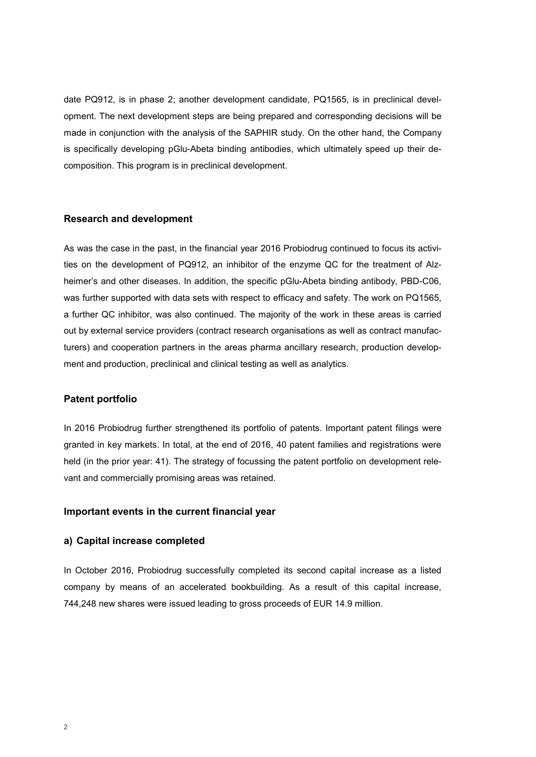date PQ912, is in phase 2; another development candidate, PQ1565, is in preclinical development. The next development steps are being prepared and corresponding decisions will be made in conjunction with the analysis of the SAPHIR study. On the other hand, the Company is specifically developing pGlu-Abeta binding antibodies, which ultimately speed up their decomposition. This program is in preclinical development.

#### **Research and development**

As was the case in the past, in the financial year 2016 Probiodrug continued to focus its activities on the development of PQ912, an inhibitor of the enzyme QC for the treatment of Alzheimer's and other diseases. In addition, the specific pGlu-Abeta binding antibody, PBD-C06, was further supported with data sets with respect to efficacy and safety. The work on PQ1565, a further QC inhibitor, was also continued. The majority of the work in these areas is carried out by external service providers (contract research organisations as well as contract manufacturers) and cooperation partners in the areas pharma ancillary research, production development and production, preclinical and clinical testing as well as analytics.

#### **Patent portfolio**

In 2016 Probiodrug further strengthened its portfolio of patents. Important patent filings were granted in key markets. In total, at the end of 2016, 40 patent families and registrations were held (in the prior year: 41). The strategy of focussing the patent portfolio on development relevant and commercially promising areas was retained.

#### **Important events in the current financial year**

#### **a) Capital increase completed**

In October 2016, Probiodrug successfully completed its second capital increase as a listed company by means of an accelerated bookbuilding. As a result of this capital increase, 744,248 new shares were issued leading to gross proceeds of EUR 14.9 million.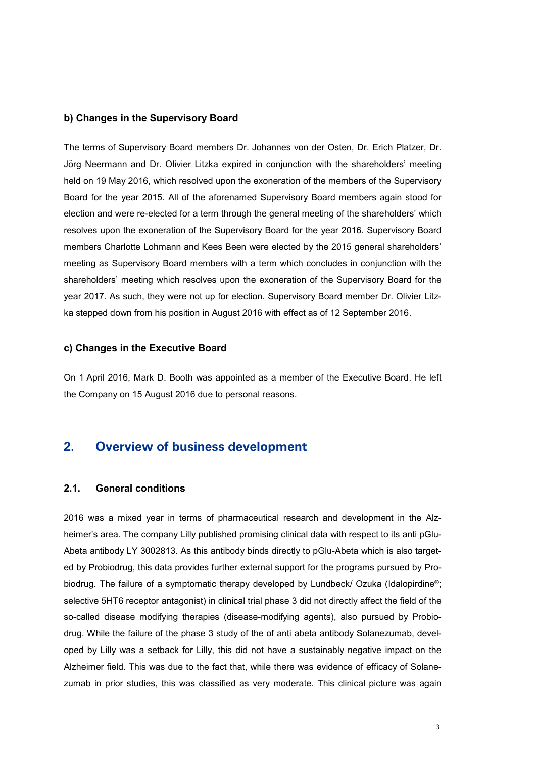#### **b) Changes in the Supervisory Board**

The terms of Supervisory Board members Dr. Johannes von der Osten, Dr. Erich Platzer, Dr. Jörg Neermann and Dr. Olivier Litzka expired in conjunction with the shareholders' meeting held on 19 May 2016, which resolved upon the exoneration of the members of the Supervisory Board for the year 2015. All of the aforenamed Supervisory Board members again stood for election and were re-elected for a term through the general meeting of the shareholders' which resolves upon the exoneration of the Supervisory Board for the year 2016. Supervisory Board members Charlotte Lohmann and Kees Been were elected by the 2015 general shareholders' meeting as Supervisory Board members with a term which concludes in conjunction with the shareholders' meeting which resolves upon the exoneration of the Supervisory Board for the year 2017. As such, they were not up for election. Supervisory Board member Dr. Olivier Litzka stepped down from his position in August 2016 with effect as of 12 September 2016.

#### **c) Changes in the Executive Board**

On 1 April 2016, Mark D. Booth was appointed as a member of the Executive Board. He left the Company on 15 August 2016 due to personal reasons.

#### **2. Overview of business development**

#### **2.1. General conditions**

2016 was a mixed year in terms of pharmaceutical research and development in the Alzheimer's area. The company Lilly published promising clinical data with respect to its anti pGlu-Abeta antibody LY 3002813. As this antibody binds directly to pGlu-Abeta which is also targeted by Probiodrug, this data provides further external support for the programs pursued by Probiodrug. The failure of a symptomatic therapy developed by Lundbeck/ Ozuka (Idalopirdine®; selective 5HT6 receptor antagonist) in clinical trial phase 3 did not directly affect the field of the so-called disease modifying therapies (disease-modifying agents), also pursued by Probiodrug. While the failure of the phase 3 study of the of anti abeta antibody Solanezumab, developed by Lilly was a setback for Lilly, this did not have a sustainably negative impact on the Alzheimer field. This was due to the fact that, while there was evidence of efficacy of Solanezumab in prior studies, this was classified as very moderate. This clinical picture was again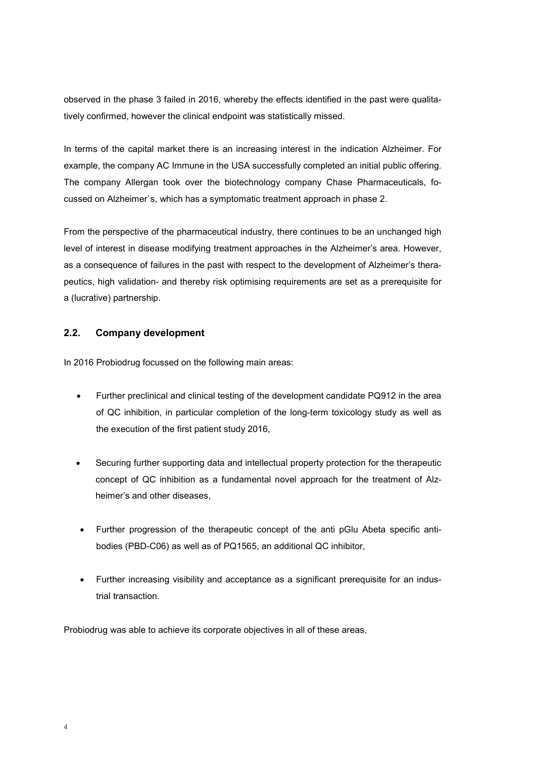observed in the phase 3 failed in 2016, whereby the effects identified in the past were qualitatively confirmed, however the clinical endpoint was statistically missed.

In terms of the capital market there is an increasing interest in the indication Alzheimer. For example, the company AC Immune in the USA successfully completed an initial public offering. The company Allergan took over the biotechnology company Chase Pharmaceuticals, focussed on Alzheimer`s, which has a symptomatic treatment approach in phase 2.

From the perspective of the pharmaceutical industry, there continues to be an unchanged high level of interest in disease modifying treatment approaches in the Alzheimer's area. However, as a consequence of failures in the past with respect to the development of Alzheimer's therapeutics, high validation- and thereby risk optimising requirements are set as a prerequisite for a (lucrative) partnership.

#### **2.2. Company development**

In 2016 Probiodrug focussed on the following main areas:

- Further preclinical and clinical testing of the development candidate PQ912 in the area of QC inhibition, in particular completion of the long-term toxicology study as well as the execution of the first patient study 2016,
- Securing further supporting data and intellectual property protection for the therapeutic concept of QC inhibition as a fundamental novel approach for the treatment of Alzheimer's and other diseases,
- Further progression of the therapeutic concept of the anti pGlu Abeta specific antibodies (PBD-C06) as well as of PQ1565, an additional QC inhibitor,
- Further increasing visibility and acceptance as a significant prerequisite for an industrial transaction.

Probiodrug was able to achieve its corporate objectives in all of these areas.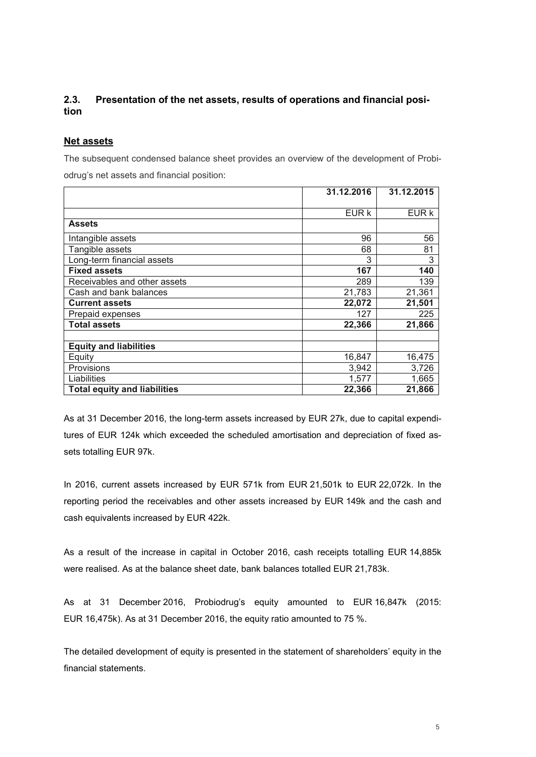#### **2.3. Presentation of the net assets, results of operations and financial position**

#### **Net assets**

The subsequent condensed balance sheet provides an overview of the development of Probi-

odrug's net assets and financial position:

|                                     | 31.12.2016 | 31.12.2015 |
|-------------------------------------|------------|------------|
|                                     |            |            |
|                                     | EUR k      | EUR k      |
| <b>Assets</b>                       |            |            |
| Intangible assets                   | 96         | 56         |
| Tangible assets                     | 68         | 81         |
| Long-term financial assets          | 3          | 3          |
| <b>Fixed assets</b>                 | 167        | 140        |
| Receivables and other assets        | 289        | 139        |
| Cash and bank balances              | 21,783     | 21,361     |
| <b>Current assets</b>               | 22,072     | 21,501     |
| Prepaid expenses                    | 127        | 225        |
| <b>Total assets</b>                 | 22,366     | 21,866     |
|                                     |            |            |
| <b>Equity and liabilities</b>       |            |            |
| Equity                              | 16,847     | 16,475     |
| Provisions                          | 3,942      | 3,726      |
| Liabilities                         | 1,577      | 1,665      |
| <b>Total equity and liabilities</b> | 22,366     | 21,866     |

As at 31 December 2016, the long-term assets increased by EUR 27k, due to capital expenditures of EUR 124k which exceeded the scheduled amortisation and depreciation of fixed assets totalling EUR 97k.

In 2016, current assets increased by EUR 571k from EUR 21,501k to EUR 22,072k. In the reporting period the receivables and other assets increased by EUR 149k and the cash and cash equivalents increased by EUR 422k.

As a result of the increase in capital in October 2016, cash receipts totalling EUR 14,885k were realised. As at the balance sheet date, bank balances totalled EUR 21,783k.

As at 31 December 2016, Probiodrug's equity amounted to EUR 16,847k (2015: EUR 16,475k). As at 31 December 2016, the equity ratio amounted to 75 %.

The detailed development of equity is presented in the statement of shareholders' equity in the financial statements.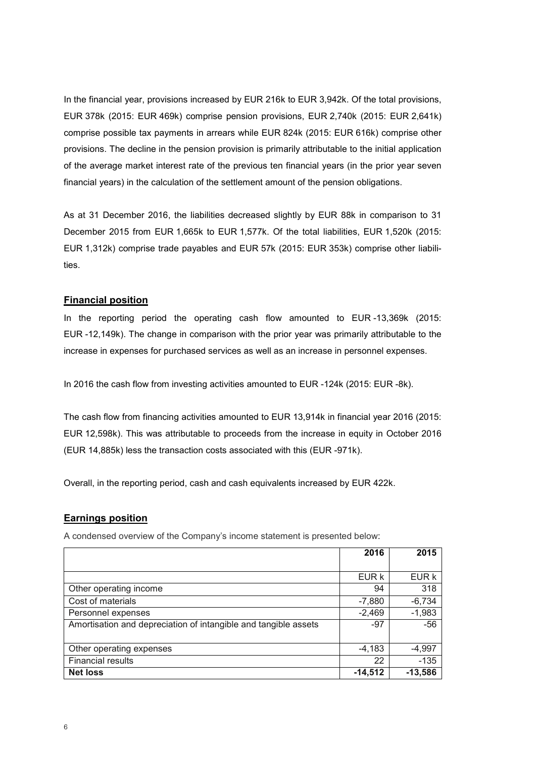In the financial year, provisions increased by EUR 216k to EUR 3,942k. Of the total provisions, EUR 378k (2015: EUR 469k) comprise pension provisions, EUR 2,740k (2015: EUR 2,641k) comprise possible tax payments in arrears while EUR 824k (2015: EUR 616k) comprise other provisions. The decline in the pension provision is primarily attributable to the initial application of the average market interest rate of the previous ten financial years (in the prior year seven financial years) in the calculation of the settlement amount of the pension obligations.

As at 31 December 2016, the liabilities decreased slightly by EUR 88k in comparison to 31 December 2015 from EUR 1,665k to EUR 1,577k. Of the total liabilities, EUR 1,520k (2015: EUR 1,312k) comprise trade payables and EUR 57k (2015: EUR 353k) comprise other liabilities.

#### **Financial position**

In the reporting period the operating cash flow amounted to EUR -13,369k (2015: EUR -12,149k). The change in comparison with the prior year was primarily attributable to the increase in expenses for purchased services as well as an increase in personnel expenses.

In 2016 the cash flow from investing activities amounted to EUR -124k (2015: EUR -8k).

The cash flow from financing activities amounted to EUR 13,914k in financial year 2016 (2015: EUR 12,598k). This was attributable to proceeds from the increase in equity in October 2016 (EUR 14,885k) less the transaction costs associated with this (EUR -971k).

Overall, in the reporting period, cash and cash equivalents increased by EUR 422k.

#### **Earnings position**

A condensed overview of the Company's income statement is presented below:

|                                                                 | 2016      | 2015      |
|-----------------------------------------------------------------|-----------|-----------|
|                                                                 |           |           |
|                                                                 | EUR k     | EUR k     |
| Other operating income                                          | 94        | 318       |
| Cost of materials                                               | $-7,880$  | $-6,734$  |
| Personnel expenses                                              | $-2,469$  | $-1,983$  |
| Amortisation and depreciation of intangible and tangible assets | $-97$     | $-56$     |
|                                                                 |           |           |
| Other operating expenses                                        | $-4,183$  | -4,997    |
| <b>Financial results</b>                                        | 22        | $-135$    |
| <b>Net loss</b>                                                 | $-14,512$ | $-13,586$ |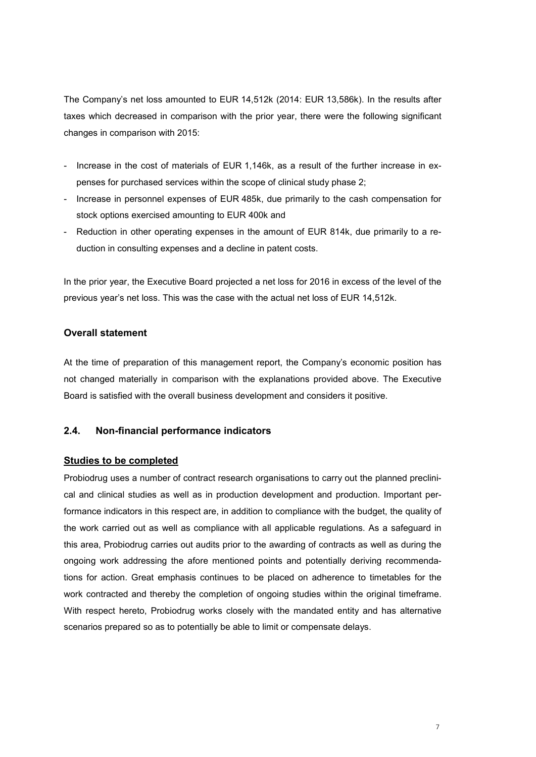The Company's net loss amounted to EUR 14,512k (2014: EUR 13,586k). In the results after taxes which decreased in comparison with the prior year, there were the following significant changes in comparison with 2015:

- Increase in the cost of materials of EUR 1,146k, as a result of the further increase in expenses for purchased services within the scope of clinical study phase 2;
- Increase in personnel expenses of EUR 485k, due primarily to the cash compensation for stock options exercised amounting to EUR 400k and
- Reduction in other operating expenses in the amount of EUR 814k, due primarily to a reduction in consulting expenses and a decline in patent costs.

In the prior year, the Executive Board projected a net loss for 2016 in excess of the level of the previous year's net loss. This was the case with the actual net loss of EUR 14,512k.

#### **Overall statement**

At the time of preparation of this management report, the Company's economic position has not changed materially in comparison with the explanations provided above. The Executive Board is satisfied with the overall business development and considers it positive.

#### **2.4. Non-financial performance indicators**

#### **Studies to be completed**

Probiodrug uses a number of contract research organisations to carry out the planned preclinical and clinical studies as well as in production development and production. Important performance indicators in this respect are, in addition to compliance with the budget, the quality of the work carried out as well as compliance with all applicable regulations. As a safeguard in this area, Probiodrug carries out audits prior to the awarding of contracts as well as during the ongoing work addressing the afore mentioned points and potentially deriving recommendations for action. Great emphasis continues to be placed on adherence to timetables for the work contracted and thereby the completion of ongoing studies within the original timeframe. With respect hereto, Probiodrug works closely with the mandated entity and has alternative scenarios prepared so as to potentially be able to limit or compensate delays.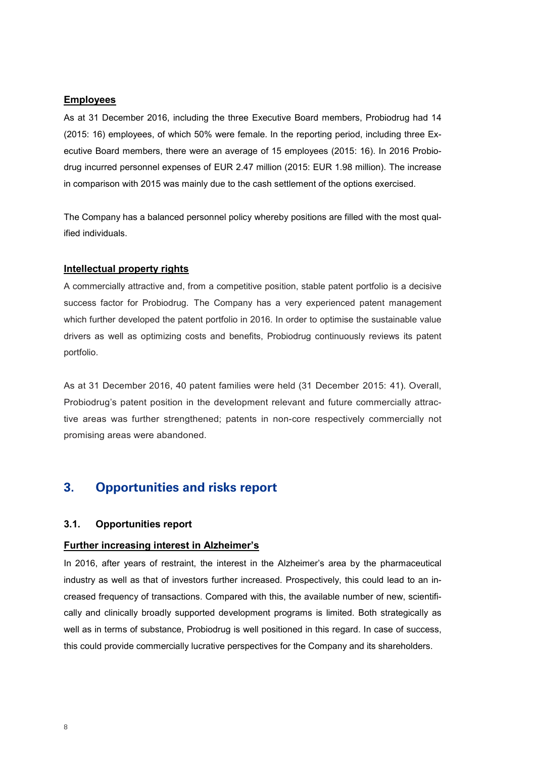#### **Employees**

As at 31 December 2016, including the three Executive Board members, Probiodrug had 14 (2015: 16) employees, of which 50% were female. In the reporting period, including three Executive Board members, there were an average of 15 employees (2015: 16). In 2016 Probiodrug incurred personnel expenses of EUR 2.47 million (2015: EUR 1.98 million). The increase in comparison with 2015 was mainly due to the cash settlement of the options exercised.

The Company has a balanced personnel policy whereby positions are filled with the most qualified individuals.

#### **Intellectual property rights**

A commercially attractive and, from a competitive position, stable patent portfolio is a decisive success factor for Probiodrug. The Company has a very experienced patent management which further developed the patent portfolio in 2016. In order to optimise the sustainable value drivers as well as optimizing costs and benefits, Probiodrug continuously reviews its patent portfolio.

As at 31 December 2016, 40 patent families were held (31 December 2015: 41). Overall, Probiodrug's patent position in the development relevant and future commercially attractive areas was further strengthened; patents in non-core respectively commercially not promising areas were abandoned.

#### **3. Opportunities and risks report**

#### **3.1. Opportunities report**

#### **Further increasing interest in Alzheimer's**

In 2016, after years of restraint, the interest in the Alzheimer's area by the pharmaceutical industry as well as that of investors further increased. Prospectively, this could lead to an increased frequency of transactions. Compared with this, the available number of new, scientifically and clinically broadly supported development programs is limited. Both strategically as well as in terms of substance, Probiodrug is well positioned in this regard. In case of success, this could provide commercially lucrative perspectives for the Company and its shareholders.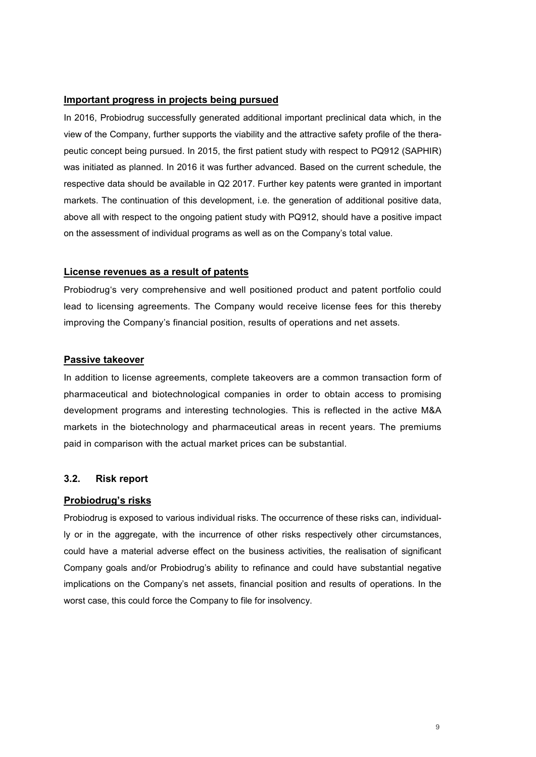#### **Important progress in projects being pursued**

In 2016, Probiodrug successfully generated additional important preclinical data which, in the view of the Company, further supports the viability and the attractive safety profile of the therapeutic concept being pursued. In 2015, the first patient study with respect to PQ912 (SAPHIR) was initiated as planned. In 2016 it was further advanced. Based on the current schedule, the respective data should be available in Q2 2017. Further key patents were granted in important markets. The continuation of this development, i.e. the generation of additional positive data, above all with respect to the ongoing patient study with PQ912, should have a positive impact on the assessment of individual programs as well as on the Company's total value.

#### **License revenues as a result of patents**

Probiodrug's very comprehensive and well positioned product and patent portfolio could lead to licensing agreements. The Company would receive license fees for this thereby improving the Company's financial position, results of operations and net assets.

#### **Passive takeover**

In addition to license agreements, complete takeovers are a common transaction form of pharmaceutical and biotechnological companies in order to obtain access to promising development programs and interesting technologies. This is reflected in the active M&A markets in the biotechnology and pharmaceutical areas in recent years. The premiums paid in comparison with the actual market prices can be substantial.

#### **3.2. Risk report**

#### **Probiodrug's risks**

Probiodrug is exposed to various individual risks. The occurrence of these risks can, individually or in the aggregate, with the incurrence of other risks respectively other circumstances, could have a material adverse effect on the business activities, the realisation of significant Company goals and/or Probiodrug's ability to refinance and could have substantial negative implications on the Company's net assets, financial position and results of operations. In the worst case, this could force the Company to file for insolvency.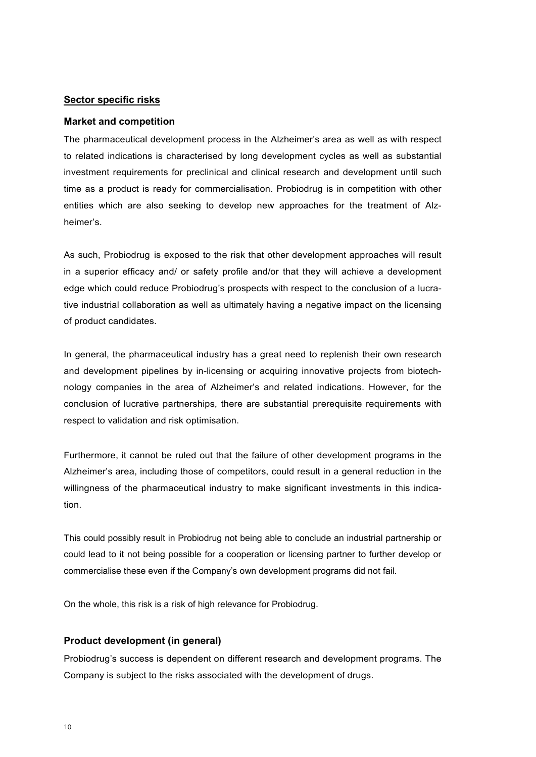#### **Sector specific risks**

#### **Market and competition**

The pharmaceutical development process in the Alzheimer's area as well as with respect to related indications is characterised by long development cycles as well as substantial investment requirements for preclinical and clinical research and development until such time as a product is ready for commercialisation. Probiodrug is in competition with other entities which are also seeking to develop new approaches for the treatment of Alzheimer's.

As such, Probiodrug is exposed to the risk that other development approaches will result in a superior efficacy and/ or safety profile and/or that they will achieve a development edge which could reduce Probiodrug's prospects with respect to the conclusion of a lucrative industrial collaboration as well as ultimately having a negative impact on the licensing of product candidates.

In general, the pharmaceutical industry has a great need to replenish their own research and development pipelines by in-licensing or acquiring innovative projects from biotechnology companies in the area of Alzheimer's and related indications. However, for the conclusion of lucrative partnerships, there are substantial prerequisite requirements with respect to validation and risk optimisation.

Furthermore, it cannot be ruled out that the failure of other development programs in the Alzheimer's area, including those of competitors, could result in a general reduction in the willingness of the pharmaceutical industry to make significant investments in this indication.

This could possibly result in Probiodrug not being able to conclude an industrial partnership or could lead to it not being possible for a cooperation or licensing partner to further develop or commercialise these even if the Company's own development programs did not fail.

On the whole, this risk is a risk of high relevance for Probiodrug.

#### **Product development (in general)**

Probiodrug's success is dependent on different research and development programs. The Company is subject to the risks associated with the development of drugs.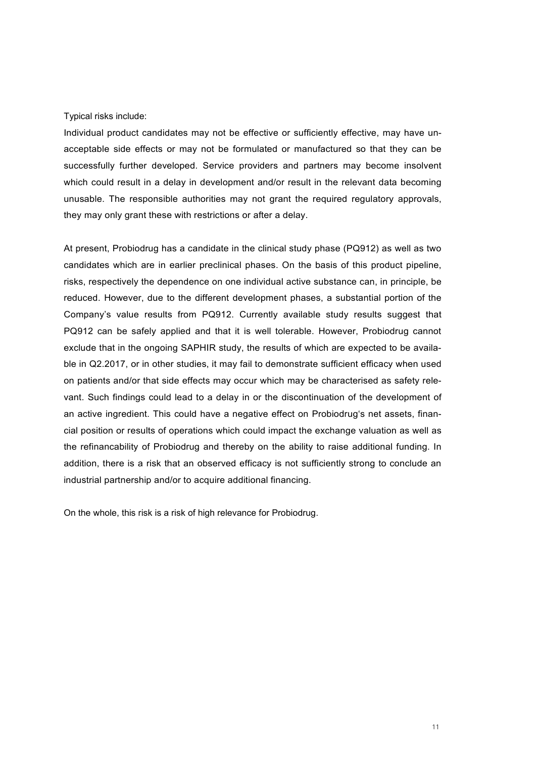#### Typical risks include:

Individual product candidates may not be effective or sufficiently effective, may have unacceptable side effects or may not be formulated or manufactured so that they can be successfully further developed. Service providers and partners may become insolvent which could result in a delay in development and/or result in the relevant data becoming unusable. The responsible authorities may not grant the required regulatory approvals, they may only grant these with restrictions or after a delay.

At present, Probiodrug has a candidate in the clinical study phase (PQ912) as well as two candidates which are in earlier preclinical phases. On the basis of this product pipeline, risks, respectively the dependence on one individual active substance can, in principle, be reduced. However, due to the different development phases, a substantial portion of the Company's value results from PQ912. Currently available study results suggest that PQ912 can be safely applied and that it is well tolerable. However, Probiodrug cannot exclude that in the ongoing SAPHIR study, the results of which are expected to be available in Q2.2017, or in other studies, it may fail to demonstrate sufficient efficacy when used on patients and/or that side effects may occur which may be characterised as safety relevant. Such findings could lead to a delay in or the discontinuation of the development of an active ingredient. This could have a negative effect on Probiodrug's net assets, financial position or results of operations which could impact the exchange valuation as well as the refinancability of Probiodrug and thereby on the ability to raise additional funding. In addition, there is a risk that an observed efficacy is not sufficiently strong to conclude an industrial partnership and/or to acquire additional financing.

On the whole, this risk is a risk of high relevance for Probiodrug.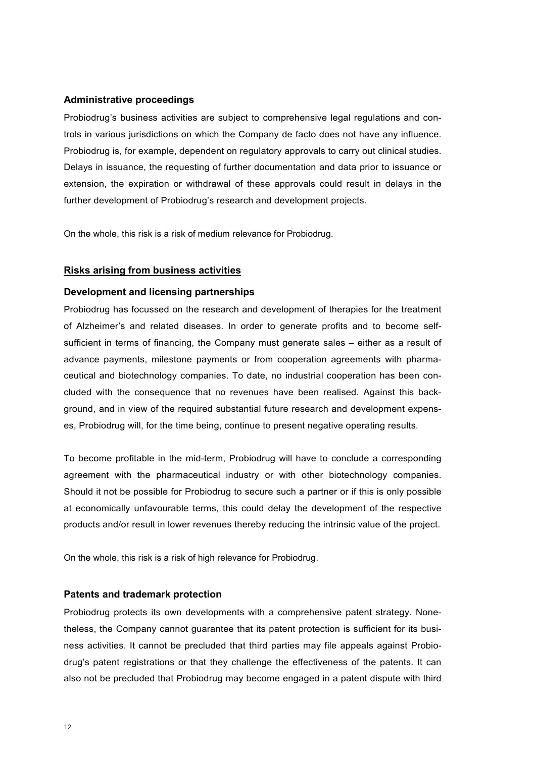#### **Administrative proceedings**

Probiodrug's business activities are subject to comprehensive legal regulations and controls in various jurisdictions on which the Company de facto does not have any influence. Probiodrug is, for example, dependent on regulatory approvals to carry out clinical studies. Delays in issuance, the requesting of further documentation and data prior to issuance or extension, the expiration or withdrawal of these approvals could result in delays in the further development of Probiodrug's research and development projects.

On the whole, this risk is a risk of medium relevance for Probiodrug.

#### **Risks arising from business activities**

#### **Development and licensing partnerships**

Probiodrug has focussed on the research and development of therapies for the treatment of Alzheimer's and related diseases. In order to generate profits and to become selfsufficient in terms of financing, the Company must generate sales – either as a result of advance payments, milestone payments or from cooperation agreements with pharmaceutical and biotechnology companies. To date, no industrial cooperation has been concluded with the consequence that no revenues have been realised. Against this background, and in view of the required substantial future research and development expenses, Probiodrug will, for the time being, continue to present negative operating results.

To become profitable in the mid-term, Probiodrug will have to conclude a corresponding agreement with the pharmaceutical industry or with other biotechnology companies. Should it not be possible for Probiodrug to secure such a partner or if this is only possible at economically unfavourable terms, this could delay the development of the respective products and/or result in lower revenues thereby reducing the intrinsic value of the project.

On the whole, this risk is a risk of high relevance for Probiodrug.

#### **Patents and trademark protection**

Probiodrug protects its own developments with a comprehensive patent strategy. Nonetheless, the Company cannot guarantee that its patent protection is sufficient for its business activities. It cannot be precluded that third parties may file appeals against Probiodrug's patent registrations or that they challenge the effectiveness of the patents. It can also not be precluded that Probiodrug may become engaged in a patent dispute with third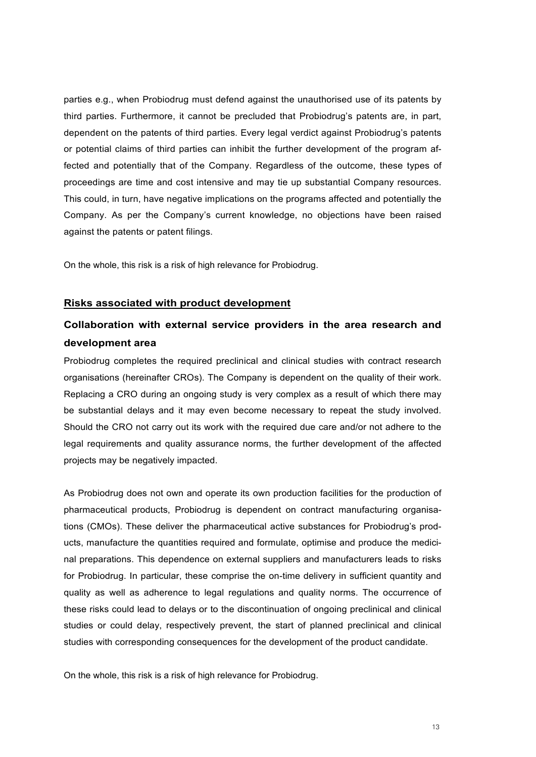parties e.g., when Probiodrug must defend against the unauthorised use of its patents by third parties. Furthermore, it cannot be precluded that Probiodrug's patents are, in part, dependent on the patents of third parties. Every legal verdict against Probiodrug's patents or potential claims of third parties can inhibit the further development of the program affected and potentially that of the Company. Regardless of the outcome, these types of proceedings are time and cost intensive and may tie up substantial Company resources. This could, in turn, have negative implications on the programs affected and potentially the Company. As per the Company's current knowledge, no objections have been raised against the patents or patent filings.

On the whole, this risk is a risk of high relevance for Probiodrug.

#### **Risks associated with product development**

#### **Collaboration with external service providers in the area research and development area**

Probiodrug completes the required preclinical and clinical studies with contract research organisations (hereinafter CROs). The Company is dependent on the quality of their work. Replacing a CRO during an ongoing study is very complex as a result of which there may be substantial delays and it may even become necessary to repeat the study involved. Should the CRO not carry out its work with the required due care and/or not adhere to the legal requirements and quality assurance norms, the further development of the affected projects may be negatively impacted.

As Probiodrug does not own and operate its own production facilities for the production of pharmaceutical products, Probiodrug is dependent on contract manufacturing organisations (CMOs). These deliver the pharmaceutical active substances for Probiodrug's products, manufacture the quantities required and formulate, optimise and produce the medicinal preparations. This dependence on external suppliers and manufacturers leads to risks for Probiodrug. In particular, these comprise the on-time delivery in sufficient quantity and quality as well as adherence to legal regulations and quality norms. The occurrence of these risks could lead to delays or to the discontinuation of ongoing preclinical and clinical studies or could delay, respectively prevent, the start of planned preclinical and clinical studies with corresponding consequences for the development of the product candidate.

On the whole, this risk is a risk of high relevance for Probiodrug.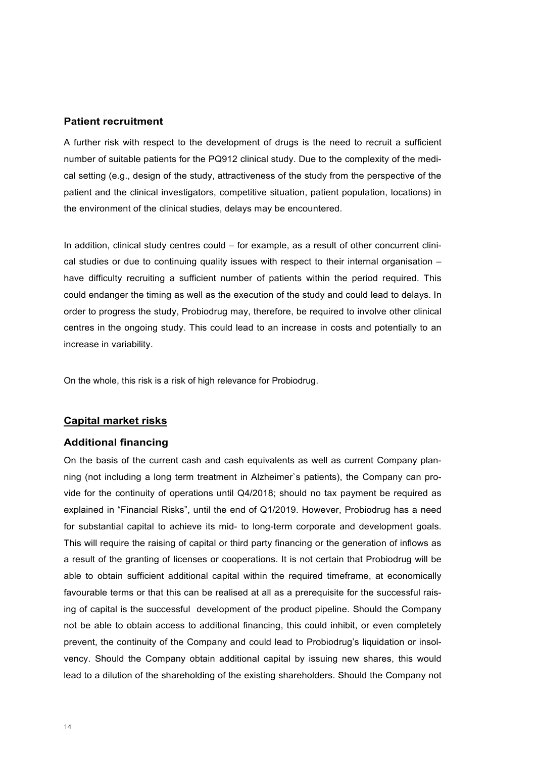#### **Patient recruitment**

A further risk with respect to the development of drugs is the need to recruit a sufficient number of suitable patients for the PQ912 clinical study. Due to the complexity of the medical setting (e.g., design of the study, attractiveness of the study from the perspective of the patient and the clinical investigators, competitive situation, patient population, locations) in the environment of the clinical studies, delays may be encountered.

In addition, clinical study centres could – for example, as a result of other concurrent clinical studies or due to continuing quality issues with respect to their internal organisation – have difficulty recruiting a sufficient number of patients within the period required. This could endanger the timing as well as the execution of the study and could lead to delays. In order to progress the study, Probiodrug may, therefore, be required to involve other clinical centres in the ongoing study. This could lead to an increase in costs and potentially to an increase in variability.

On the whole, this risk is a risk of high relevance for Probiodrug.

#### **Capital market risks**

#### **Additional financing**

On the basis of the current cash and cash equivalents as well as current Company planning (not including a long term treatment in Alzheimer`s patients), the Company can provide for the continuity of operations until Q4/2018; should no tax payment be required as explained in "Financial Risks", until the end of Q1/2019. However, Probiodrug has a need for substantial capital to achieve its mid- to long-term corporate and development goals. This will require the raising of capital or third party financing or the generation of inflows as a result of the granting of licenses or cooperations. It is not certain that Probiodrug will be able to obtain sufficient additional capital within the required timeframe, at economically favourable terms or that this can be realised at all as a prerequisite for the successful raising of capital is the successful development of the product pipeline. Should the Company not be able to obtain access to additional financing, this could inhibit, or even completely prevent, the continuity of the Company and could lead to Probiodrug's liquidation or insolvency. Should the Company obtain additional capital by issuing new shares, this would lead to a dilution of the shareholding of the existing shareholders. Should the Company not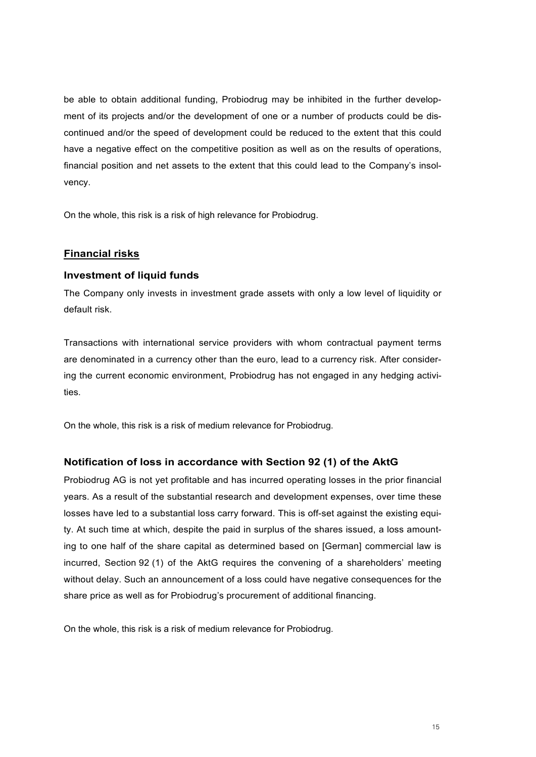be able to obtain additional funding, Probiodrug may be inhibited in the further development of its projects and/or the development of one or a number of products could be discontinued and/or the speed of development could be reduced to the extent that this could have a negative effect on the competitive position as well as on the results of operations, financial position and net assets to the extent that this could lead to the Company's insolvency.

On the whole, this risk is a risk of high relevance for Probiodrug.

#### **Financial risks**

#### **Investment of liquid funds**

The Company only invests in investment grade assets with only a low level of liquidity or default risk.

Transactions with international service providers with whom contractual payment terms are denominated in a currency other than the euro, lead to a currency risk. After considering the current economic environment, Probiodrug has not engaged in any hedging activities.

On the whole, this risk is a risk of medium relevance for Probiodrug.

#### **Notification of loss in accordance with Section 92 (1) of the AktG**

Probiodrug AG is not yet profitable and has incurred operating losses in the prior financial years. As a result of the substantial research and development expenses, over time these losses have led to a substantial loss carry forward. This is off-set against the existing equity. At such time at which, despite the paid in surplus of the shares issued, a loss amounting to one half of the share capital as determined based on [German] commercial law is incurred, Section 92 (1) of the AktG requires the convening of a shareholders' meeting without delay. Such an announcement of a loss could have negative consequences for the share price as well as for Probiodrug's procurement of additional financing.

On the whole, this risk is a risk of medium relevance for Probiodrug.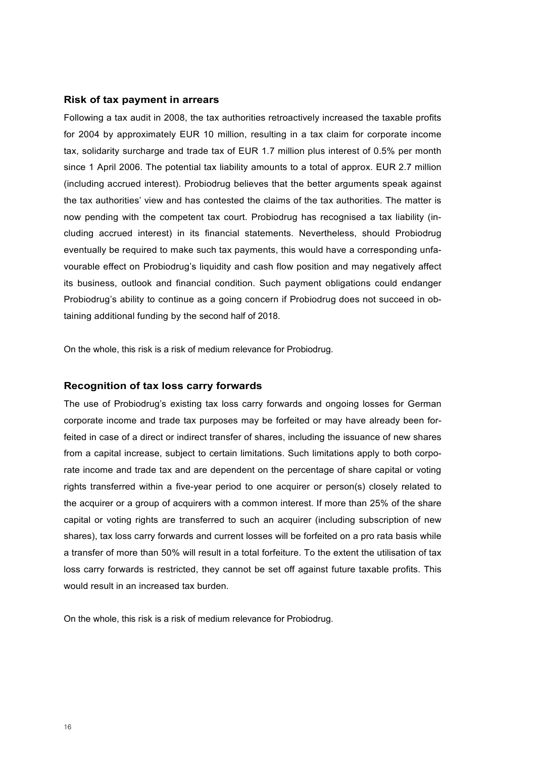#### **Risk of tax payment in arrears**

Following a tax audit in 2008, the tax authorities retroactively increased the taxable profits for 2004 by approximately EUR 10 million, resulting in a tax claim for corporate income tax, solidarity surcharge and trade tax of EUR 1.7 million plus interest of 0.5% per month since 1 April 2006. The potential tax liability amounts to a total of approx. EUR 2.7 million (including accrued interest). Probiodrug believes that the better arguments speak against the tax authorities' view and has contested the claims of the tax authorities. The matter is now pending with the competent tax court. Probiodrug has recognised a tax liability (including accrued interest) in its financial statements. Nevertheless, should Probiodrug eventually be required to make such tax payments, this would have a corresponding unfavourable effect on Probiodrug's liquidity and cash flow position and may negatively affect its business, outlook and financial condition. Such payment obligations could endanger Probiodrug's ability to continue as a going concern if Probiodrug does not succeed in obtaining additional funding by the second half of 2018.

On the whole, this risk is a risk of medium relevance for Probiodrug.

#### **Recognition of tax loss carry forwards**

The use of Probiodrug's existing tax loss carry forwards and ongoing losses for German corporate income and trade tax purposes may be forfeited or may have already been forfeited in case of a direct or indirect transfer of shares, including the issuance of new shares from a capital increase, subject to certain limitations. Such limitations apply to both corporate income and trade tax and are dependent on the percentage of share capital or voting rights transferred within a five-year period to one acquirer or person(s) closely related to the acquirer or a group of acquirers with a common interest. If more than 25% of the share capital or voting rights are transferred to such an acquirer (including subscription of new shares), tax loss carry forwards and current losses will be forfeited on a pro rata basis while a transfer of more than 50% will result in a total forfeiture. To the extent the utilisation of tax loss carry forwards is restricted, they cannot be set off against future taxable profits. This would result in an increased tax burden.

On the whole, this risk is a risk of medium relevance for Probiodrug.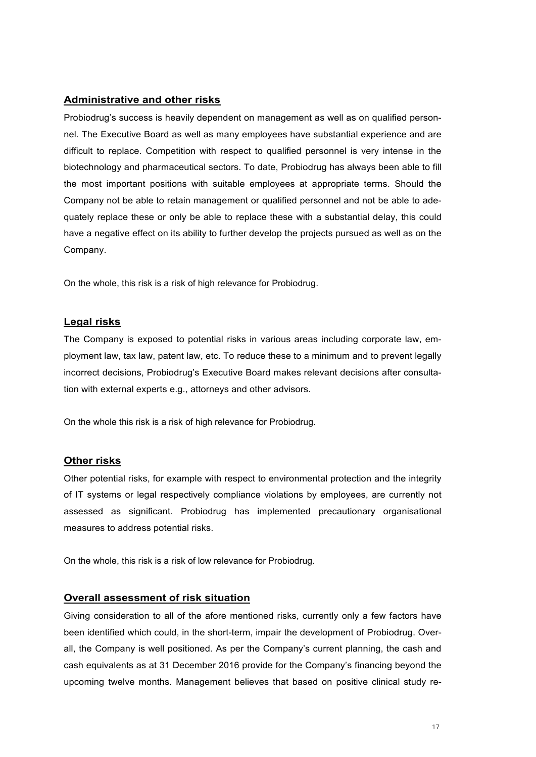#### **Administrative and other risks**

Probiodrug's success is heavily dependent on management as well as on qualified personnel. The Executive Board as well as many employees have substantial experience and are difficult to replace. Competition with respect to qualified personnel is very intense in the biotechnology and pharmaceutical sectors. To date, Probiodrug has always been able to fill the most important positions with suitable employees at appropriate terms. Should the Company not be able to retain management or qualified personnel and not be able to adequately replace these or only be able to replace these with a substantial delay, this could have a negative effect on its ability to further develop the projects pursued as well as on the Company.

On the whole, this risk is a risk of high relevance for Probiodrug.

#### **Legal risks**

The Company is exposed to potential risks in various areas including corporate law, employment law, tax law, patent law, etc. To reduce these to a minimum and to prevent legally incorrect decisions, Probiodrug's Executive Board makes relevant decisions after consultation with external experts e.g., attorneys and other advisors.

On the whole this risk is a risk of high relevance for Probiodrug.

#### **Other risks**

Other potential risks, for example with respect to environmental protection and the integrity of IT systems or legal respectively compliance violations by employees, are currently not assessed as significant. Probiodrug has implemented precautionary organisational measures to address potential risks.

On the whole, this risk is a risk of low relevance for Probiodrug.

#### **Overall assessment of risk situation**

Giving consideration to all of the afore mentioned risks, currently only a few factors have been identified which could, in the short-term, impair the development of Probiodrug. Overall, the Company is well positioned. As per the Company's current planning, the cash and cash equivalents as at 31 December 2016 provide for the Company's financing beyond the upcoming twelve months. Management believes that based on positive clinical study re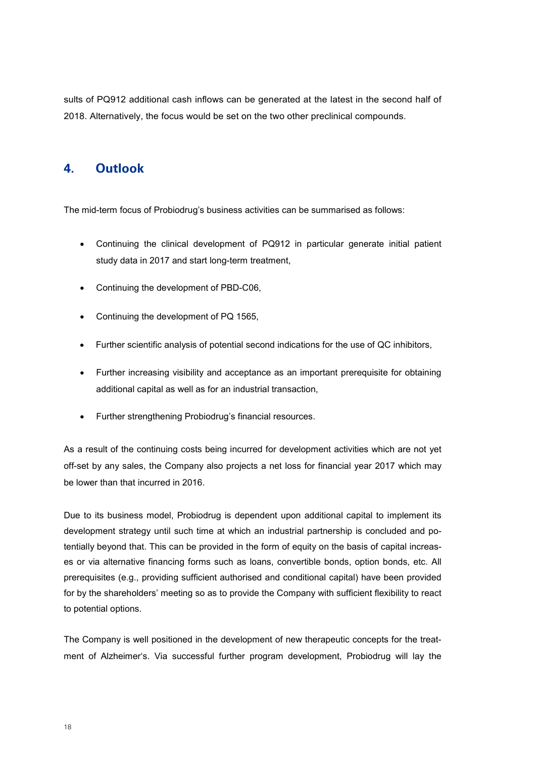sults of PQ912 additional cash inflows can be generated at the latest in the second half of 2018. Alternatively, the focus would be set on the two other preclinical compounds.

#### **4. Outlook**

The mid-term focus of Probiodrug's business activities can be summarised as follows:

- Continuing the clinical development of PQ912 in particular generate initial patient study data in 2017 and start long-term treatment,
- Continuing the development of PBD-C06,
- Continuing the development of PQ 1565,
- Further scientific analysis of potential second indications for the use of QC inhibitors,
- Further increasing visibility and acceptance as an important prerequisite for obtaining additional capital as well as for an industrial transaction,
- Further strengthening Probiodrug's financial resources.

As a result of the continuing costs being incurred for development activities which are not yet off-set by any sales, the Company also projects a net loss for financial year 2017 which may be lower than that incurred in 2016.

Due to its business model, Probiodrug is dependent upon additional capital to implement its development strategy until such time at which an industrial partnership is concluded and potentially beyond that. This can be provided in the form of equity on the basis of capital increases or via alternative financing forms such as loans, convertible bonds, option bonds, etc. All prerequisites (e.g., providing sufficient authorised and conditional capital) have been provided for by the shareholders' meeting so as to provide the Company with sufficient flexibility to react to potential options.

The Company is well positioned in the development of new therapeutic concepts for the treatment of Alzheimer's. Via successful further program development, Probiodrug will lay the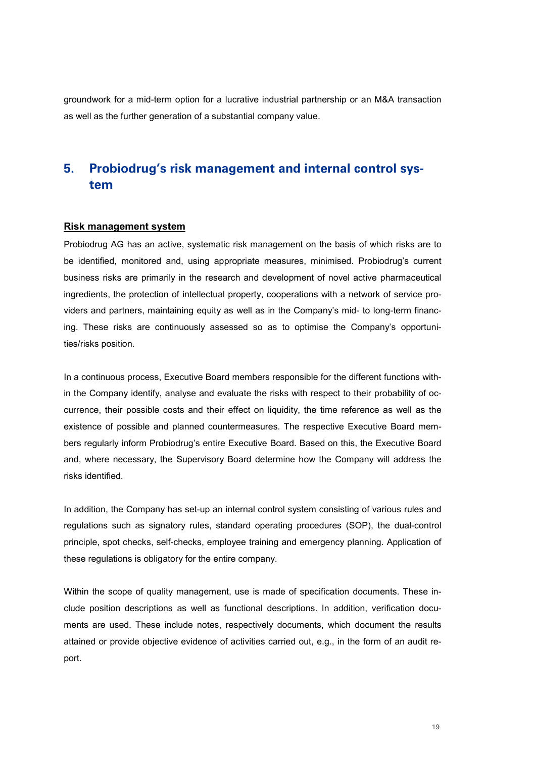groundwork for a mid-term option for a lucrative industrial partnership or an M&A transaction as well as the further generation of a substantial company value.

### **5. Probiodrug's risk management and internal control system**

#### **Risk management system**

Probiodrug AG has an active, systematic risk management on the basis of which risks are to be identified, monitored and, using appropriate measures, minimised. Probiodrug's current business risks are primarily in the research and development of novel active pharmaceutical ingredients, the protection of intellectual property, cooperations with a network of service providers and partners, maintaining equity as well as in the Company's mid- to long-term financing. These risks are continuously assessed so as to optimise the Company's opportunities/risks position.

In a continuous process, Executive Board members responsible for the different functions within the Company identify, analyse and evaluate the risks with respect to their probability of occurrence, their possible costs and their effect on liquidity, the time reference as well as the existence of possible and planned countermeasures. The respective Executive Board members regularly inform Probiodrug's entire Executive Board. Based on this, the Executive Board and, where necessary, the Supervisory Board determine how the Company will address the risks identified.

In addition, the Company has set-up an internal control system consisting of various rules and regulations such as signatory rules, standard operating procedures (SOP), the dual-control principle, spot checks, self-checks, employee training and emergency planning. Application of these regulations is obligatory for the entire company.

Within the scope of quality management, use is made of specification documents. These include position descriptions as well as functional descriptions. In addition, verification documents are used. These include notes, respectively documents, which document the results attained or provide objective evidence of activities carried out, e.g., in the form of an audit report.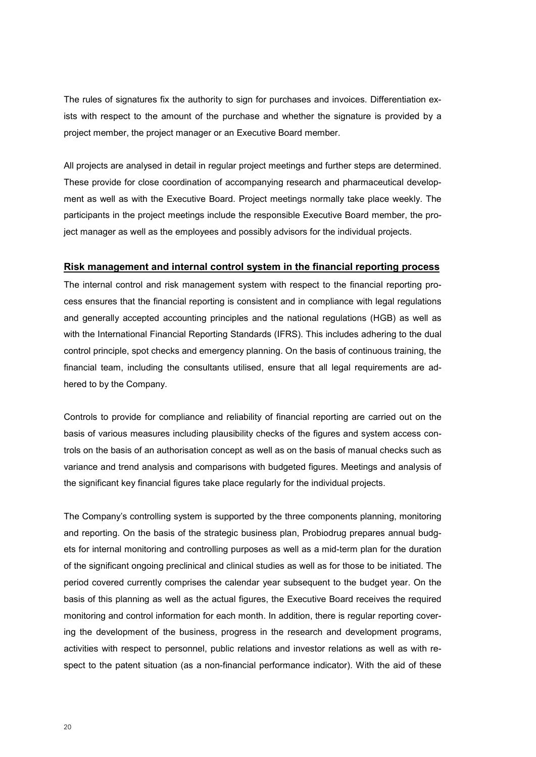The rules of signatures fix the authority to sign for purchases and invoices. Differentiation exists with respect to the amount of the purchase and whether the signature is provided by a project member, the project manager or an Executive Board member.

All projects are analysed in detail in regular project meetings and further steps are determined. These provide for close coordination of accompanying research and pharmaceutical development as well as with the Executive Board. Project meetings normally take place weekly. The participants in the project meetings include the responsible Executive Board member, the project manager as well as the employees and possibly advisors for the individual projects.

#### **Risk management and internal control system in the financial reporting process**

The internal control and risk management system with respect to the financial reporting process ensures that the financial reporting is consistent and in compliance with legal regulations and generally accepted accounting principles and the national regulations (HGB) as well as with the International Financial Reporting Standards (IFRS). This includes adhering to the dual control principle, spot checks and emergency planning. On the basis of continuous training, the financial team, including the consultants utilised, ensure that all legal requirements are adhered to by the Company.

Controls to provide for compliance and reliability of financial reporting are carried out on the basis of various measures including plausibility checks of the figures and system access controls on the basis of an authorisation concept as well as on the basis of manual checks such as variance and trend analysis and comparisons with budgeted figures. Meetings and analysis of the significant key financial figures take place regularly for the individual projects.

The Company's controlling system is supported by the three components planning, monitoring and reporting. On the basis of the strategic business plan, Probiodrug prepares annual budgets for internal monitoring and controlling purposes as well as a mid-term plan for the duration of the significant ongoing preclinical and clinical studies as well as for those to be initiated. The period covered currently comprises the calendar year subsequent to the budget year. On the basis of this planning as well as the actual figures, the Executive Board receives the required monitoring and control information for each month. In addition, there is regular reporting covering the development of the business, progress in the research and development programs, activities with respect to personnel, public relations and investor relations as well as with respect to the patent situation (as a non-financial performance indicator). With the aid of these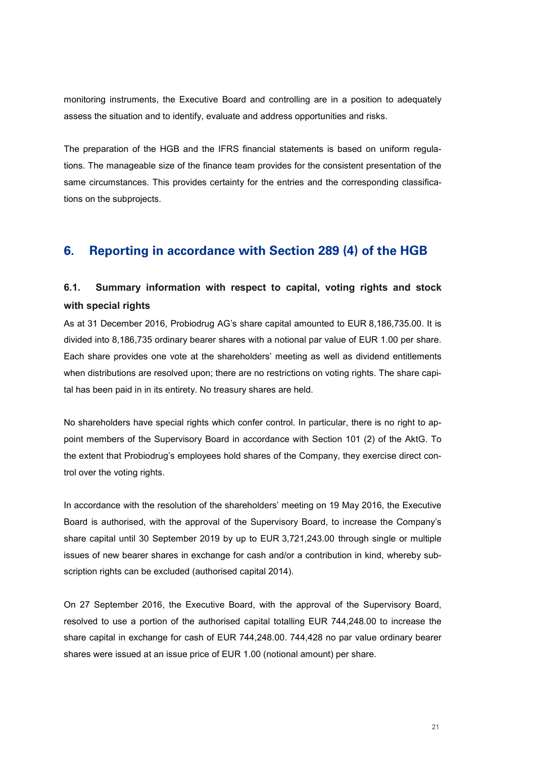monitoring instruments, the Executive Board and controlling are in a position to adequately assess the situation and to identify, evaluate and address opportunities and risks.

The preparation of the HGB and the IFRS financial statements is based on uniform regulations. The manageable size of the finance team provides for the consistent presentation of the same circumstances. This provides certainty for the entries and the corresponding classifications on the subprojects.

#### **6. Reporting in accordance with Section 289 (4) of the HGB**

### **6.1. Summary information with respect to capital, voting rights and stock with special rights**

As at 31 December 2016, Probiodrug AG's share capital amounted to EUR 8,186,735.00. It is divided into 8,186,735 ordinary bearer shares with a notional par value of EUR 1.00 per share. Each share provides one vote at the shareholders' meeting as well as dividend entitlements when distributions are resolved upon; there are no restrictions on voting rights. The share capital has been paid in in its entirety. No treasury shares are held.

No shareholders have special rights which confer control. In particular, there is no right to appoint members of the Supervisory Board in accordance with Section 101 (2) of the AktG. To the extent that Probiodrug's employees hold shares of the Company, they exercise direct control over the voting rights.

In accordance with the resolution of the shareholders' meeting on 19 May 2016, the Executive Board is authorised, with the approval of the Supervisory Board, to increase the Company's share capital until 30 September 2019 by up to EUR 3,721,243.00 through single or multiple issues of new bearer shares in exchange for cash and/or a contribution in kind, whereby subscription rights can be excluded (authorised capital 2014).

On 27 September 2016, the Executive Board, with the approval of the Supervisory Board, resolved to use a portion of the authorised capital totalling EUR 744,248.00 to increase the share capital in exchange for cash of EUR 744,248.00. 744,428 no par value ordinary bearer shares were issued at an issue price of EUR 1.00 (notional amount) per share.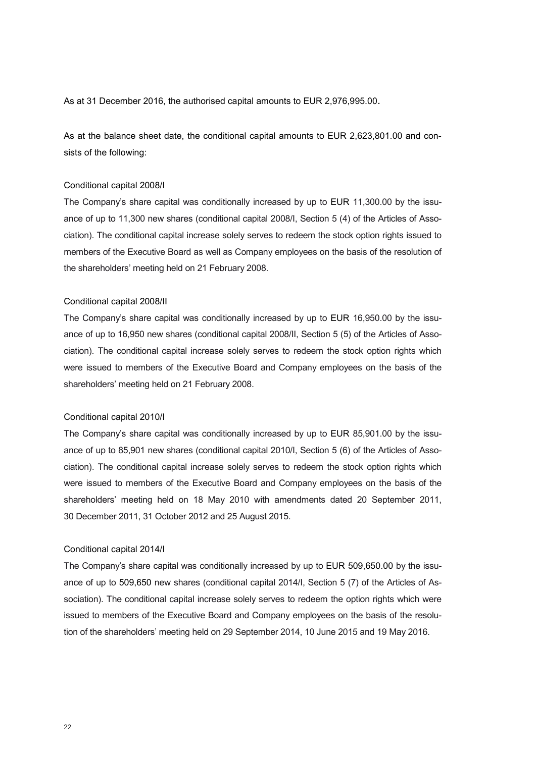As at 31 December 2016, the authorised capital amounts to EUR 2,976,995.00.

As at the balance sheet date, the conditional capital amounts to EUR 2,623,801.00 and consists of the following:

#### Conditional capital 2008/I

The Company's share capital was conditionally increased by up to EUR 11,300.00 by the issuance of up to 11,300 new shares (conditional capital 2008/I, Section 5 (4) of the Articles of Association). The conditional capital increase solely serves to redeem the stock option rights issued to members of the Executive Board as well as Company employees on the basis of the resolution of the shareholders' meeting held on 21 February 2008.

#### Conditional capital 2008/II

The Company's share capital was conditionally increased by up to EUR 16,950.00 by the issuance of up to 16,950 new shares (conditional capital 2008/II, Section 5 (5) of the Articles of Association). The conditional capital increase solely serves to redeem the stock option rights which were issued to members of the Executive Board and Company employees on the basis of the shareholders' meeting held on 21 February 2008.

#### Conditional capital 2010/I

The Company's share capital was conditionally increased by up to EUR 85,901.00 by the issuance of up to 85,901 new shares (conditional capital 2010/I, Section 5 (6) of the Articles of Association). The conditional capital increase solely serves to redeem the stock option rights which were issued to members of the Executive Board and Company employees on the basis of the shareholders' meeting held on 18 May 2010 with amendments dated 20 September 2011, 30 December 2011, 31 October 2012 and 25 August 2015.

#### Conditional capital 2014/I

The Company's share capital was conditionally increased by up to EUR 509,650.00 by the issuance of up to 509,650 new shares (conditional capital 2014/I, Section 5 (7) of the Articles of Association). The conditional capital increase solely serves to redeem the option rights which were issued to members of the Executive Board and Company employees on the basis of the resolution of the shareholders' meeting held on 29 September 2014, 10 June 2015 and 19 May 2016.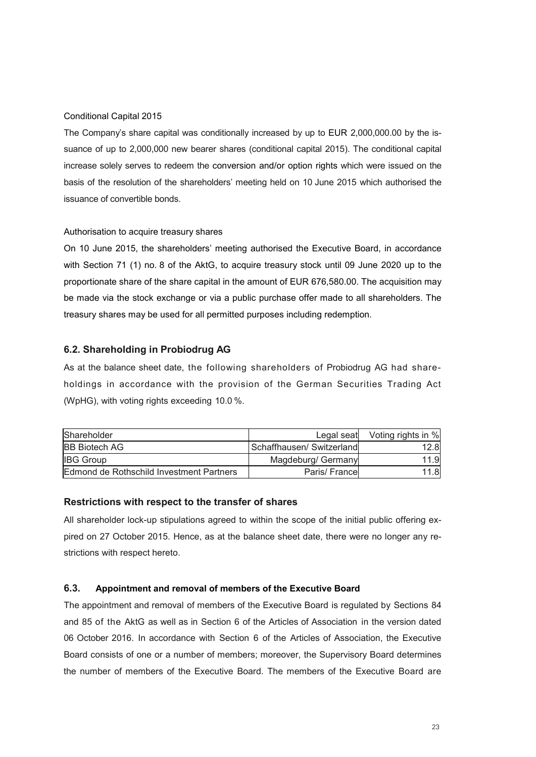#### Conditional Capital 2015

The Company's share capital was conditionally increased by up to EUR 2,000,000.00 by the issuance of up to 2,000,000 new bearer shares (conditional capital 2015). The conditional capital increase solely serves to redeem the conversion and/or option rights which were issued on the basis of the resolution of the shareholders' meeting held on 10 June 2015 which authorised the issuance of convertible bonds.

#### Authorisation to acquire treasury shares

On 10 June 2015, the shareholders' meeting authorised the Executive Board, in accordance with Section 71 (1) no. 8 of the AktG, to acquire treasury stock until 09 June 2020 up to the proportionate share of the share capital in the amount of EUR 676,580.00. The acquisition may be made via the stock exchange or via a public purchase offer made to all shareholders. The treasury shares may be used for all permitted purposes including redemption.

#### **6.2. Shareholding in Probiodrug AG**

As at the balance sheet date, the following shareholders of Probiodrug AG had shareholdings in accordance with the provision of the German Securities Trading Act (WpHG), with voting rights exceeding 10.0 %.

| Shareholder                              | Legal seat               | Voting rights in % |
|------------------------------------------|--------------------------|--------------------|
| <b>BB Biotech AG</b>                     | Schaffhausen/Switzerland | 12.8               |
| <b>IBG Group</b>                         | Magdeburg/ Germany       | 11.9               |
| Edmond de Rothschild Investment Partners | Paris/Francel            | 11.8               |

#### **Restrictions with respect to the transfer of shares**

All shareholder lock-up stipulations agreed to within the scope of the initial public offering expired on 27 October 2015. Hence, as at the balance sheet date, there were no longer any restrictions with respect hereto.

#### **6.3. Appointment and removal of members of the Executive Board**

The appointment and removal of members of the Executive Board is regulated by Sections 84 and 85 of the AktG as well as in Section 6 of the Articles of Association in the version dated 06 October 2016. In accordance with Section 6 of the Articles of Association, the Executive Board consists of one or a number of members; moreover, the Supervisory Board determines the number of members of the Executive Board. The members of the Executive Board are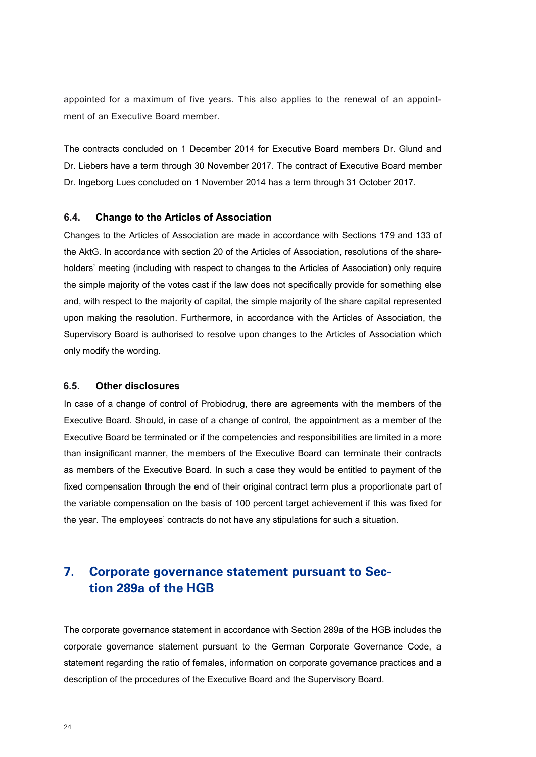appointed for a maximum of five years. This also applies to the renewal of an appointment of an Executive Board member.

The contracts concluded on 1 December 2014 for Executive Board members Dr. Glund and Dr. Liebers have a term through 30 November 2017. The contract of Executive Board member Dr. Ingeborg Lues concluded on 1 November 2014 has a term through 31 October 2017.

#### **6.4. Change to the Articles of Association**

Changes to the Articles of Association are made in accordance with Sections 179 and 133 of the AktG. In accordance with section 20 of the Articles of Association, resolutions of the shareholders' meeting (including with respect to changes to the Articles of Association) only require the simple majority of the votes cast if the law does not specifically provide for something else and, with respect to the majority of capital, the simple majority of the share capital represented upon making the resolution. Furthermore, in accordance with the Articles of Association, the Supervisory Board is authorised to resolve upon changes to the Articles of Association which only modify the wording.

#### **6.5. Other disclosures**

In case of a change of control of Probiodrug, there are agreements with the members of the Executive Board. Should, in case of a change of control, the appointment as a member of the Executive Board be terminated or if the competencies and responsibilities are limited in a more than insignificant manner, the members of the Executive Board can terminate their contracts as members of the Executive Board. In such a case they would be entitled to payment of the fixed compensation through the end of their original contract term plus a proportionate part of the variable compensation on the basis of 100 percent target achievement if this was fixed for the year. The employees' contracts do not have any stipulations for such a situation.

### **7. Corporate governance statement pursuant to Section 289a of the HGB**

The corporate governance statement in accordance with Section 289a of the HGB includes the corporate governance statement pursuant to the German Corporate Governance Code, a statement regarding the ratio of females, information on corporate governance practices and a description of the procedures of the Executive Board and the Supervisory Board.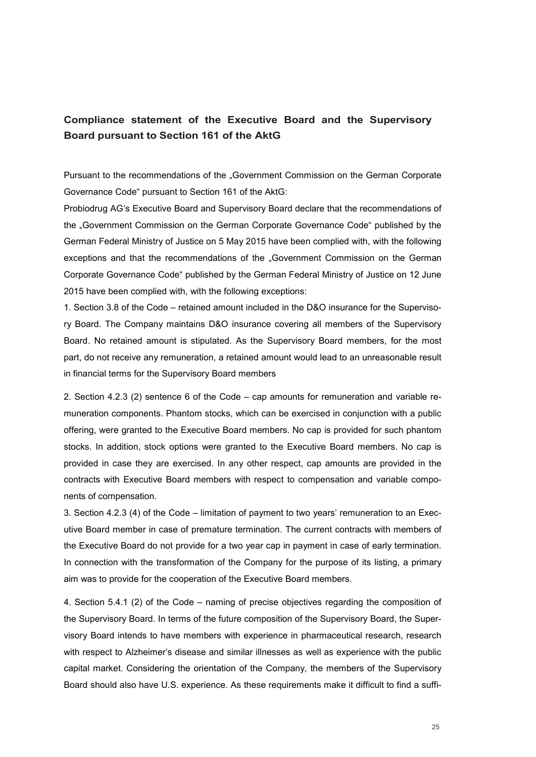#### **Compliance statement of the Executive Board and the Supervisory Board pursuant to Section 161 of the AktG**

Pursuant to the recommendations of the "Government Commission on the German Corporate Governance Code" pursuant to Section 161 of the AktG:

Probiodrug AG's Executive Board and Supervisory Board declare that the recommendations of the "Government Commission on the German Corporate Governance Code" published by the German Federal Ministry of Justice on 5 May 2015 have been complied with, with the following exceptions and that the recommendations of the "Government Commission on the German Corporate Governance Code" published by the German Federal Ministry of Justice on 12 June 2015 have been complied with, with the following exceptions:

1. Section 3.8 of the Code – retained amount included in the D&O insurance for the Supervisory Board. The Company maintains D&O insurance covering all members of the Supervisory Board. No retained amount is stipulated. As the Supervisory Board members, for the most part, do not receive any remuneration, a retained amount would lead to an unreasonable result in financial terms for the Supervisory Board members

2. Section 4.2.3 (2) sentence 6 of the Code – cap amounts for remuneration and variable remuneration components. Phantom stocks, which can be exercised in conjunction with a public offering, were granted to the Executive Board members. No cap is provided for such phantom stocks. In addition, stock options were granted to the Executive Board members. No cap is provided in case they are exercised. In any other respect, cap amounts are provided in the contracts with Executive Board members with respect to compensation and variable components of compensation.

3. Section 4.2.3 (4) of the Code – limitation of payment to two years' remuneration to an Executive Board member in case of premature termination. The current contracts with members of the Executive Board do not provide for a two year cap in payment in case of early termination. In connection with the transformation of the Company for the purpose of its listing, a primary aim was to provide for the cooperation of the Executive Board members.

4. Section 5.4.1 (2) of the Code – naming of precise objectives regarding the composition of the Supervisory Board. In terms of the future composition of the Supervisory Board, the Supervisory Board intends to have members with experience in pharmaceutical research, research with respect to Alzheimer's disease and similar illnesses as well as experience with the public capital market. Considering the orientation of the Company, the members of the Supervisory Board should also have U.S. experience. As these requirements make it difficult to find a suffi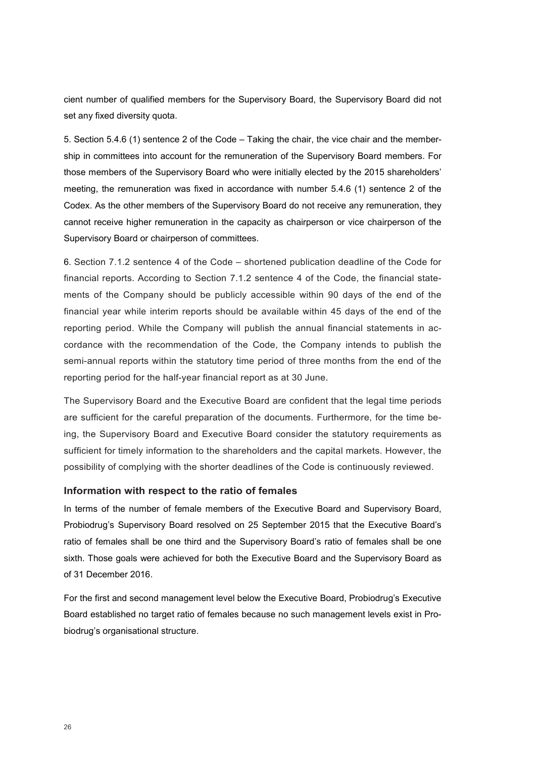cient number of qualified members for the Supervisory Board, the Supervisory Board did not set any fixed diversity quota.

5. Section 5.4.6 (1) sentence 2 of the Code – Taking the chair, the vice chair and the membership in committees into account for the remuneration of the Supervisory Board members. For those members of the Supervisory Board who were initially elected by the 2015 shareholders' meeting, the remuneration was fixed in accordance with number 5.4.6 (1) sentence 2 of the Codex. As the other members of the Supervisory Board do not receive any remuneration, they cannot receive higher remuneration in the capacity as chairperson or vice chairperson of the Supervisory Board or chairperson of committees.

6. Section 7.1.2 sentence 4 of the Code – shortened publication deadline of the Code for financial reports. According to Section 7.1.2 sentence 4 of the Code, the financial statements of the Company should be publicly accessible within 90 days of the end of the financial year while interim reports should be available within 45 days of the end of the reporting period. While the Company will publish the annual financial statements in accordance with the recommendation of the Code, the Company intends to publish the semi-annual reports within the statutory time period of three months from the end of the reporting period for the half-year financial report as at 30 June.

The Supervisory Board and the Executive Board are confident that the legal time periods are sufficient for the careful preparation of the documents. Furthermore, for the time being, the Supervisory Board and Executive Board consider the statutory requirements as sufficient for timely information to the shareholders and the capital markets. However, the possibility of complying with the shorter deadlines of the Code is continuously reviewed.

#### **Information with respect to the ratio of females**

In terms of the number of female members of the Executive Board and Supervisory Board, Probiodrug's Supervisory Board resolved on 25 September 2015 that the Executive Board's ratio of females shall be one third and the Supervisory Board's ratio of females shall be one sixth. Those goals were achieved for both the Executive Board and the Supervisory Board as of 31 December 2016.

For the first and second management level below the Executive Board, Probiodrug's Executive Board established no target ratio of females because no such management levels exist in Probiodrug's organisational structure.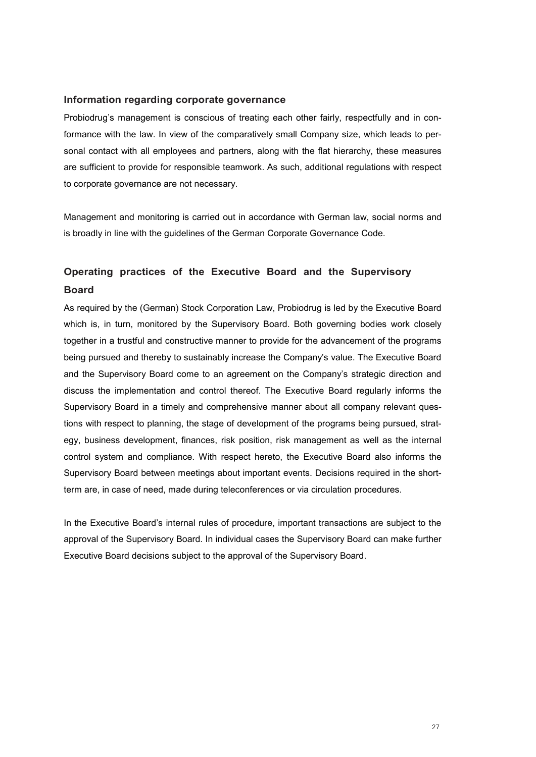#### **Information regarding corporate governance**

Probiodrug's management is conscious of treating each other fairly, respectfully and in conformance with the law. In view of the comparatively small Company size, which leads to personal contact with all employees and partners, along with the flat hierarchy, these measures are sufficient to provide for responsible teamwork. As such, additional regulations with respect to corporate governance are not necessary.

Management and monitoring is carried out in accordance with German law, social norms and is broadly in line with the guidelines of the German Corporate Governance Code.

### **Operating practices of the Executive Board and the Supervisory Board**

As required by the (German) Stock Corporation Law, Probiodrug is led by the Executive Board which is, in turn, monitored by the Supervisory Board. Both governing bodies work closely together in a trustful and constructive manner to provide for the advancement of the programs being pursued and thereby to sustainably increase the Company's value. The Executive Board and the Supervisory Board come to an agreement on the Company's strategic direction and discuss the implementation and control thereof. The Executive Board regularly informs the Supervisory Board in a timely and comprehensive manner about all company relevant questions with respect to planning, the stage of development of the programs being pursued, strategy, business development, finances, risk position, risk management as well as the internal control system and compliance. With respect hereto, the Executive Board also informs the Supervisory Board between meetings about important events. Decisions required in the shortterm are, in case of need, made during teleconferences or via circulation procedures.

In the Executive Board's internal rules of procedure, important transactions are subject to the approval of the Supervisory Board. In individual cases the Supervisory Board can make further Executive Board decisions subject to the approval of the Supervisory Board.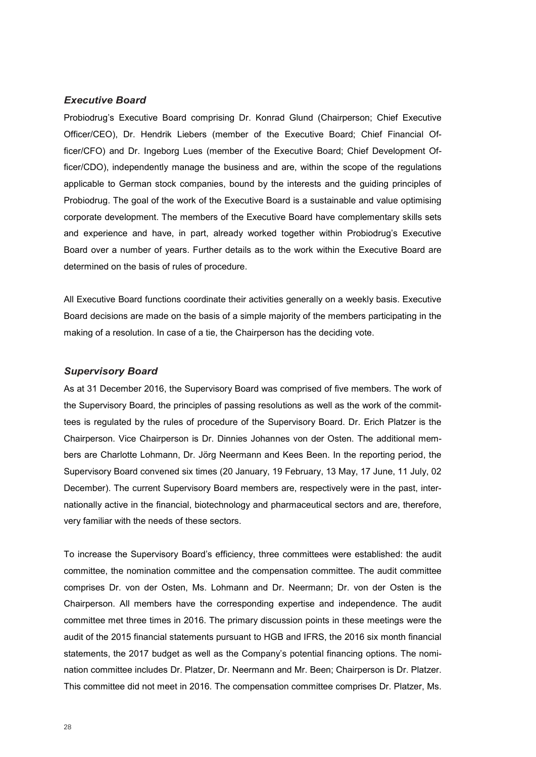#### *Executive Board*

Probiodrug's Executive Board comprising Dr. Konrad Glund (Chairperson; Chief Executive Officer/CEO), Dr. Hendrik Liebers (member of the Executive Board; Chief Financial Officer/CFO) and Dr. Ingeborg Lues (member of the Executive Board; Chief Development Officer/CDO), independently manage the business and are, within the scope of the regulations applicable to German stock companies, bound by the interests and the guiding principles of Probiodrug. The goal of the work of the Executive Board is a sustainable and value optimising corporate development. The members of the Executive Board have complementary skills sets and experience and have, in part, already worked together within Probiodrug's Executive Board over a number of years. Further details as to the work within the Executive Board are determined on the basis of rules of procedure.

All Executive Board functions coordinate their activities generally on a weekly basis. Executive Board decisions are made on the basis of a simple majority of the members participating in the making of a resolution. In case of a tie, the Chairperson has the deciding vote.

#### *Supervisory Board*

As at 31 December 2016, the Supervisory Board was comprised of five members. The work of the Supervisory Board, the principles of passing resolutions as well as the work of the committees is regulated by the rules of procedure of the Supervisory Board. Dr. Erich Platzer is the Chairperson. Vice Chairperson is Dr. Dinnies Johannes von der Osten. The additional members are Charlotte Lohmann, Dr. Jörg Neermann and Kees Been. In the reporting period, the Supervisory Board convened six times (20 January, 19 February, 13 May, 17 June, 11 July, 02 December). The current Supervisory Board members are, respectively were in the past, internationally active in the financial, biotechnology and pharmaceutical sectors and are, therefore, very familiar with the needs of these sectors.

To increase the Supervisory Board's efficiency, three committees were established: the audit committee, the nomination committee and the compensation committee. The audit committee comprises Dr. von der Osten, Ms. Lohmann and Dr. Neermann; Dr. von der Osten is the Chairperson. All members have the corresponding expertise and independence. The audit committee met three times in 2016. The primary discussion points in these meetings were the audit of the 2015 financial statements pursuant to HGB and IFRS, the 2016 six month financial statements, the 2017 budget as well as the Company's potential financing options. The nomination committee includes Dr. Platzer, Dr. Neermann and Mr. Been; Chairperson is Dr. Platzer. This committee did not meet in 2016. The compensation committee comprises Dr. Platzer, Ms.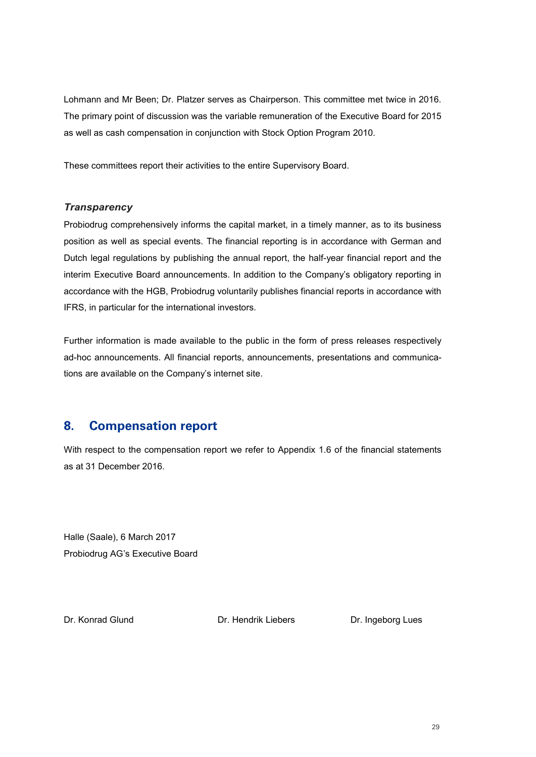Lohmann and Mr Been; Dr. Platzer serves as Chairperson. This committee met twice in 2016. The primary point of discussion was the variable remuneration of the Executive Board for 2015 as well as cash compensation in conjunction with Stock Option Program 2010.

These committees report their activities to the entire Supervisory Board.

#### *Transparency*

Probiodrug comprehensively informs the capital market, in a timely manner, as to its business position as well as special events. The financial reporting is in accordance with German and Dutch legal regulations by publishing the annual report, the half-year financial report and the interim Executive Board announcements. In addition to the Company's obligatory reporting in accordance with the HGB, Probiodrug voluntarily publishes financial reports in accordance with IFRS, in particular for the international investors.

Further information is made available to the public in the form of press releases respectively ad-hoc announcements. All financial reports, announcements, presentations and communications are available on the Company's internet site.

#### **8. Compensation report**

With respect to the compensation report we refer to Appendix 1.6 of the financial statements as at 31 December 2016.

Halle (Saale), 6 March 2017 Probiodrug AG's Executive Board

Dr. Konrad Glund Dr. Hendrik Liebers Dr. Ingeborg Lues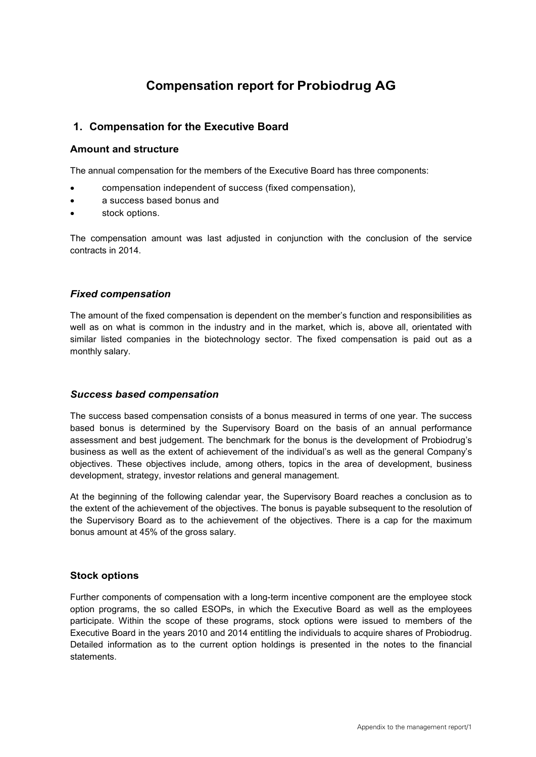## **Compensation report for Probiodrug AG**

#### **1. Compensation for the Executive Board**

#### **Amount and structure**

The annual compensation for the members of the Executive Board has three components:

- compensation independent of success (fixed compensation),
- a success based bonus and
- stock options.

The compensation amount was last adjusted in conjunction with the conclusion of the service contracts in 2014.

#### *Fixed compensation*

The amount of the fixed compensation is dependent on the member's function and responsibilities as well as on what is common in the industry and in the market, which is, above all, orientated with similar listed companies in the biotechnology sector. The fixed compensation is paid out as a monthly salary.

#### *Success based compensation*

The success based compensation consists of a bonus measured in terms of one year. The success based bonus is determined by the Supervisory Board on the basis of an annual performance assessment and best judgement. The benchmark for the bonus is the development of Probiodrug's business as well as the extent of achievement of the individual's as well as the general Company's objectives. These objectives include, among others, topics in the area of development, business development, strategy, investor relations and general management.

At the beginning of the following calendar year, the Supervisory Board reaches a conclusion as to the extent of the achievement of the objectives. The bonus is payable subsequent to the resolution of the Supervisory Board as to the achievement of the objectives. There is a cap for the maximum bonus amount at 45% of the gross salary.

#### **Stock options**

Further components of compensation with a long-term incentive component are the employee stock option programs, the so called ESOPs, in which the Executive Board as well as the employees participate. Within the scope of these programs, stock options were issued to members of the Executive Board in the years 2010 and 2014 entitling the individuals to acquire shares of Probiodrug. Detailed information as to the current option holdings is presented in the notes to the financial statements.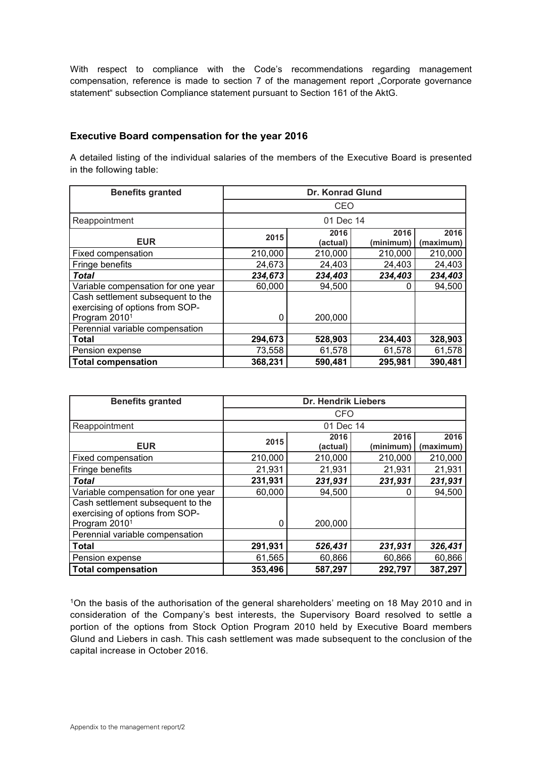With respect to compliance with the Code's recommendations regarding management compensation, reference is made to section 7 of the management report "Corporate governance statement" subsection Compliance statement pursuant to Section 161 of the AktG.

#### **Executive Board compensation for the year 2016**

A detailed listing of the individual salaries of the members of the Executive Board is presented in the following table:

| <b>Benefits granted</b>                                              | <b>Dr. Konrad Glund</b> |                  |                   |                   |  |
|----------------------------------------------------------------------|-------------------------|------------------|-------------------|-------------------|--|
|                                                                      | CEO                     |                  |                   |                   |  |
| Reappointment                                                        |                         | 01 Dec 14        |                   |                   |  |
| <b>EUR</b>                                                           | 2015                    | 2016<br>(actual) | 2016<br>(minimum) | 2016<br>(maximum) |  |
| Fixed compensation                                                   | 210,000                 | 210,000          | 210,000           | 210,000           |  |
| Fringe benefits                                                      | 24,673                  | 24,403           | 24,403            | 24,403            |  |
| Total                                                                | 234,673                 | 234,403          | 234,403           | 234,403           |  |
| Variable compensation for one year                                   | 60,000                  | 94,500           | 0                 | 94,500            |  |
| Cash settlement subsequent to the<br>exercising of options from SOP- |                         |                  |                   |                   |  |
| Program 2010 <sup>1</sup>                                            | 0                       | 200,000          |                   |                   |  |
| Perennial variable compensation                                      |                         |                  |                   |                   |  |
| <b>Total</b>                                                         | 294,673                 | 528,903          | 234,403           | 328,903           |  |
| Pension expense                                                      | 73,558                  | 61,578           | 61,578            | 61,578            |  |
| <b>Total compensation</b>                                            | 368,231                 | 590,481          | 295,981           | 390,481           |  |

| <b>Benefits granted</b>                                              | <b>Dr. Hendrik Liebers</b> |                  |                   |                   |  |
|----------------------------------------------------------------------|----------------------------|------------------|-------------------|-------------------|--|
|                                                                      | CFO                        |                  |                   |                   |  |
| Reappointment                                                        |                            | 01 Dec 14        |                   |                   |  |
| <b>EUR</b>                                                           | 2015                       | 2016<br>(actual) | 2016<br>(minimum) | 2016<br>(maximum) |  |
| Fixed compensation                                                   | 210,000                    | 210,000          | 210,000           | 210,000           |  |
| Fringe benefits                                                      | 21,931                     | 21,931           | 21,931            | 21,931            |  |
| <b>Total</b>                                                         | 231,931                    | 231,931          | 231,931           | 231,931           |  |
| Variable compensation for one year                                   | 60,000                     | 94,500           | 0                 | 94,500            |  |
| Cash settlement subsequent to the<br>exercising of options from SOP- |                            |                  |                   |                   |  |
| Program 2010 <sup>1</sup>                                            | 0                          | 200,000          |                   |                   |  |
| Perennial variable compensation                                      |                            |                  |                   |                   |  |
| <b>Total</b>                                                         | 291,931                    | 526,431          | 231,931           | 326,431           |  |
| Pension expense                                                      | 61,565                     | 60,866           | 60,866            | 60,866            |  |
| <b>Total compensation</b>                                            | 353,496                    | 587,297          | 292,797           | 387,297           |  |

<sup>1</sup>On the basis of the authorisation of the general shareholders' meeting on 18 May 2010 and in consideration of the Company's best interests, the Supervisory Board resolved to settle a portion of the options from Stock Option Program 2010 held by Executive Board members Glund and Liebers in cash. This cash settlement was made subsequent to the conclusion of the capital increase in October 2016.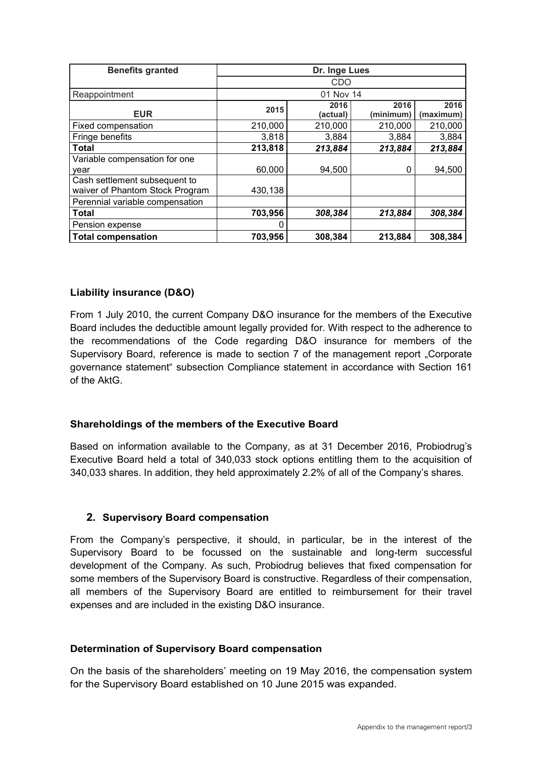| <b>Benefits granted</b>         | Dr. Inge Lues |                  |                   |                   |  |
|---------------------------------|---------------|------------------|-------------------|-------------------|--|
|                                 | CDO           |                  |                   |                   |  |
| Reappointment                   |               | 01 Nov 14        |                   |                   |  |
| <b>EUR</b>                      | 2015          | 2016<br>(actual) | 2016<br>(minimum) | 2016<br>(maximum) |  |
| Fixed compensation              | 210,000       | 210,000          | 210,000           | 210,000           |  |
| Fringe benefits                 | 3,818         | 3,884            | 3,884             | 3,884             |  |
| Total                           | 213,818       | 213,884          | 213,884           | 213,884           |  |
| Variable compensation for one   |               |                  |                   |                   |  |
| vear                            | 60,000        | 94,500           | 0                 | 94,500            |  |
| Cash settlement subsequent to   |               |                  |                   |                   |  |
| waiver of Phantom Stock Program | 430,138       |                  |                   |                   |  |
| Perennial variable compensation |               |                  |                   |                   |  |
| <b>Total</b>                    | 703,956       | 308,384          | 213,884           | 308,384           |  |
| Pension expense                 | 0             |                  |                   |                   |  |
| <b>Total compensation</b>       | 703,956       | 308,384          | 213,884           | 308,384           |  |

#### **Liability insurance (D&O)**

From 1 July 2010, the current Company D&O insurance for the members of the Executive Board includes the deductible amount legally provided for. With respect to the adherence to the recommendations of the Code regarding D&O insurance for members of the Supervisory Board, reference is made to section 7 of the management report "Corporate governance statement" subsection Compliance statement in accordance with Section 161 of the AktG.

#### **Shareholdings of the members of the Executive Board**

Based on information available to the Company, as at 31 December 2016, Probiodrug's Executive Board held a total of 340,033 stock options entitling them to the acquisition of 340,033 shares. In addition, they held approximately 2.2% of all of the Company's shares.

#### **2. Supervisory Board compensation**

From the Company's perspective, it should, in particular, be in the interest of the Supervisory Board to be focussed on the sustainable and long-term successful development of the Company. As such, Probiodrug believes that fixed compensation for some members of the Supervisory Board is constructive. Regardless of their compensation, all members of the Supervisory Board are entitled to reimbursement for their travel expenses and are included in the existing D&O insurance.

#### **Determination of Supervisory Board compensation**

On the basis of the shareholders' meeting on 19 May 2016, the compensation system for the Supervisory Board established on 10 June 2015 was expanded.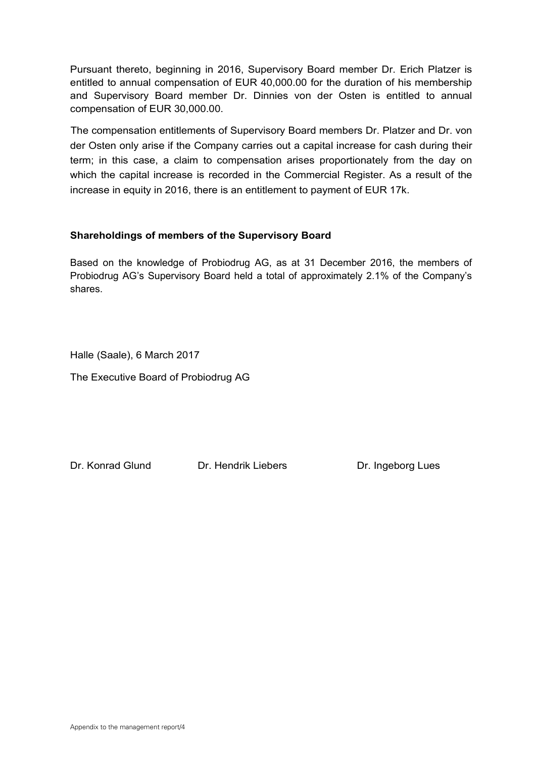Pursuant thereto, beginning in 2016, Supervisory Board member Dr. Erich Platzer is entitled to annual compensation of EUR 40,000.00 for the duration of his membership and Supervisory Board member Dr. Dinnies von der Osten is entitled to annual compensation of EUR 30,000.00.

The compensation entitlements of Supervisory Board members Dr. Platzer and Dr. von der Osten only arise if the Company carries out a capital increase for cash during their term; in this case, a claim to compensation arises proportionately from the day on which the capital increase is recorded in the Commercial Register. As a result of the increase in equity in 2016, there is an entitlement to payment of EUR 17k.

#### **Shareholdings of members of the Supervisory Board**

Based on the knowledge of Probiodrug AG, as at 31 December 2016, the members of Probiodrug AG's Supervisory Board held a total of approximately 2.1% of the Company's shares.

Halle (Saale), 6 March 2017

The Executive Board of Probiodrug AG

Dr. Konrad Glund Dr. Hendrik Liebers Dr. Ingeborg Lues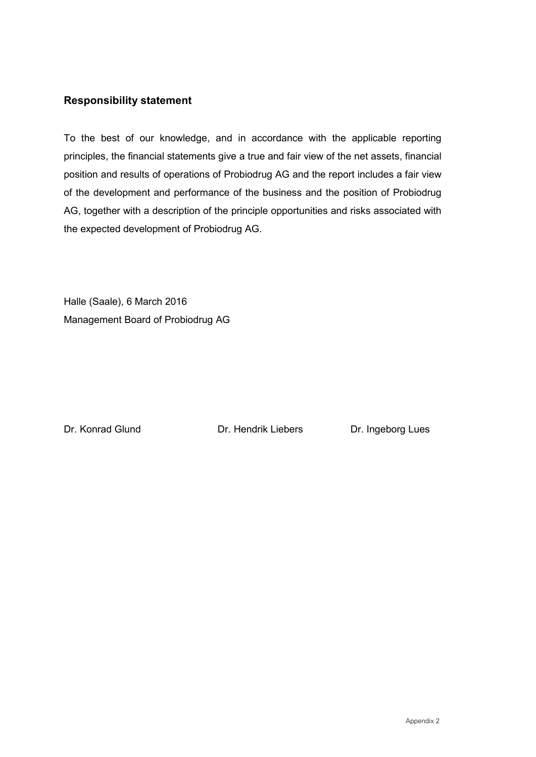#### **Responsibility statement**

To the best of our knowledge, and in accordance with the applicable reporting principles, the financial statements give a true and fair view of the net assets, financial position and results of operations of Probiodrug AG and the report includes a fair view of the development and performance of the business and the position of Probiodrug AG, together with a description of the principle opportunities and risks associated with the expected development of Probiodrug AG.

Halle (Saale), 6 March 2016 Management Board of Probiodrug AG

Dr. Konrad Glund Dr. Hendrik Liebers Dr. Ingeborg Lues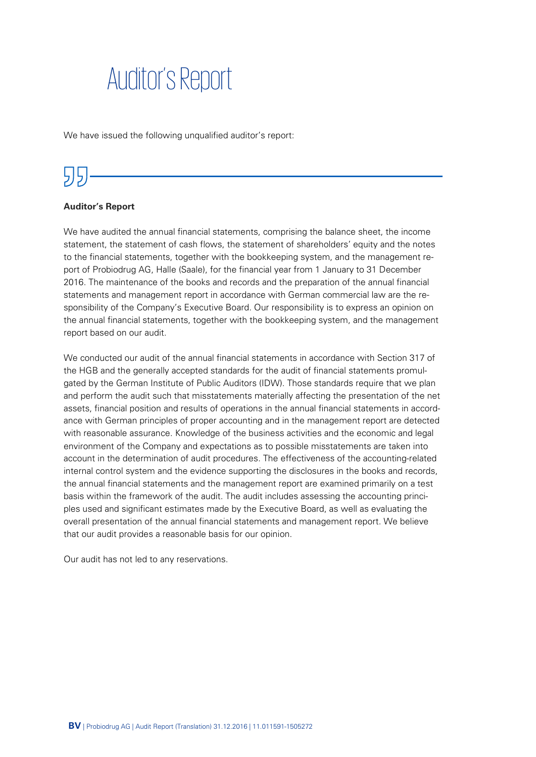# Auditor's Report

We have issued the following unqualified auditor's report:

# 55

#### **Auditor's Report**

We have audited the annual financial statements, comprising the balance sheet, the income statement, the statement of cash flows, the statement of shareholders' equity and the notes to the financial statements, together with the bookkeeping system, and the management report of Probiodrug AG, Halle (Saale), for the financial year from 1 January to 31 December 2016. The maintenance of the books and records and the preparation of the annual financial statements and management report in accordance with German commercial law are the responsibility of the Company's Executive Board. Our responsibility is to express an opinion on the annual financial statements, together with the bookkeeping system, and the management report based on our audit.

We conducted our audit of the annual financial statements in accordance with Section 317 of the HGB and the generally accepted standards for the audit of financial statements promulgated by the German Institute of Public Auditors (IDW). Those standards require that we plan and perform the audit such that misstatements materially affecting the presentation of the net assets, financial position and results of operations in the annual financial statements in accordance with German principles of proper accounting and in the management report are detected with reasonable assurance. Knowledge of the business activities and the economic and legal environment of the Company and expectations as to possible misstatements are taken into account in the determination of audit procedures. The effectiveness of the accounting-related internal control system and the evidence supporting the disclosures in the books and records, the annual financial statements and the management report are examined primarily on a test basis within the framework of the audit. The audit includes assessing the accounting principles used and significant estimates made by the Executive Board, as well as evaluating the overall presentation of the annual financial statements and management report. We believe that our audit provides a reasonable basis for our opinion.

Our audit has not led to any reservations.